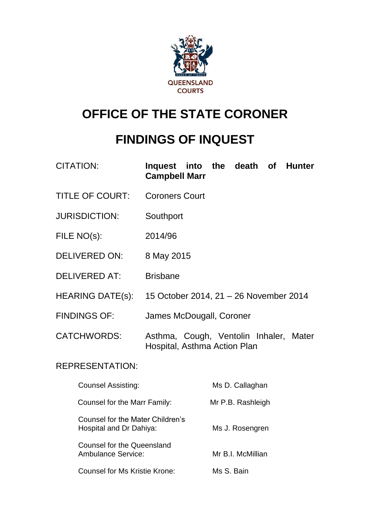

# **OFFICE OF THE STATE CORONER**

# **FINDINGS OF INQUEST**

| <b>CITATION:</b>       | Inquest into the death of Hunter<br><b>Campbell Marr</b>               |
|------------------------|------------------------------------------------------------------------|
| <b>TITLE OF COURT:</b> | <b>Coroners Court</b>                                                  |
| <b>JURISDICTION:</b>   | Southport                                                              |
| FILE NO(s):            | 2014/96                                                                |
| DELIVERED ON:          | 8 May 2015                                                             |
| <b>DELIVERED AT:</b>   | <b>Brisbane</b>                                                        |
| HEARING DATE(s):       | 15 October 2014, 21 - 26 November 2014                                 |
| <b>FINDINGS OF:</b>    | James McDougall, Coroner                                               |
| <b>CATCHWORDS:</b>     | Asthma, Cough, Ventolin Inhaler, Mater<br>Hospital, Asthma Action Plan |
| <b>REPRESENTATION:</b> |                                                                        |
| Counsel Assisting:     | Ms D. Callaghan                                                        |

| UUUNOT MOORINIY.                                               | <b>IVIO D. Valiagrian</b> |
|----------------------------------------------------------------|---------------------------|
| Counsel for the Marr Family:                                   | Mr P.B. Rashleigh         |
| Counsel for the Mater Children's<br>Hospital and Dr Dahiya:    | Ms J. Rosengren           |
| <b>Counsel for the Queensland</b><br><b>Ambulance Service:</b> | Mr B.I. McMillian         |
| <b>Counsel for Ms Kristie Krone:</b>                           | Ms S. Bain                |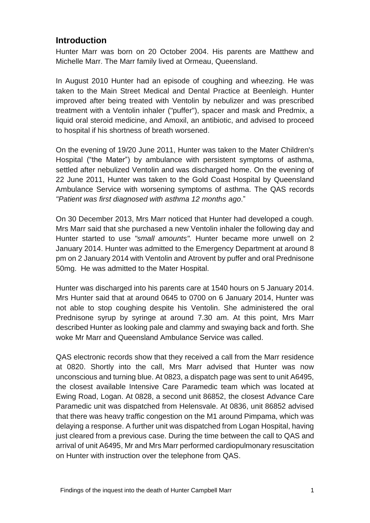## **Introduction**

Hunter Marr was born on 20 October 2004. His parents are Matthew and Michelle Marr. The Marr family lived at Ormeau, Queensland.

In August 2010 Hunter had an episode of coughing and wheezing. He was taken to the Main Street Medical and Dental Practice at Beenleigh. Hunter improved after being treated with Ventolin by nebulizer and was prescribed treatment with a Ventolin inhaler ("puffer"), spacer and mask and Predmix, a liquid oral steroid medicine, and Amoxil, an antibiotic, and advised to proceed to hospital if his shortness of breath worsened.

On the evening of 19/20 June 2011, Hunter was taken to the Mater Children's Hospital ("the Mater") by ambulance with persistent symptoms of asthma, settled after nebulized Ventolin and was discharged home. On the evening of 22 June 2011, Hunter was taken to the Gold Coast Hospital by Queensland Ambulance Service with worsening symptoms of asthma. The QAS records *"Patient was first diagnosed with asthma 12 months ago*."

On 30 December 2013, Mrs Marr noticed that Hunter had developed a cough. Mrs Marr said that she purchased a new Ventolin inhaler the following day and Hunter started to use *"small amounts".* Hunter became more unwell on 2 January 2014. Hunter was admitted to the Emergency Department at around 8 pm on 2 January 2014 with Ventolin and Atrovent by puffer and oral Prednisone 50mg. He was admitted to the Mater Hospital.

Hunter was discharged into his parents care at 1540 hours on 5 January 2014. Mrs Hunter said that at around 0645 to 0700 on 6 January 2014, Hunter was not able to stop coughing despite his Ventolin. She administered the oral Prednisone syrup by syringe at around 7.30 am. At this point, Mrs Marr described Hunter as looking pale and clammy and swaying back and forth. She woke Mr Marr and Queensland Ambulance Service was called.

QAS electronic records show that they received a call from the Marr residence at 0820. Shortly into the call, Mrs Marr advised that Hunter was now unconscious and turning blue. At 0823, a dispatch page was sent to unit A6495, the closest available Intensive Care Paramedic team which was located at Ewing Road, Logan. At 0828, a second unit 86852, the closest Advance Care Paramedic unit was dispatched from Helensvale. At 0836, unit 86852 advised that there was heavy traffic congestion on the M1 around Pimpama, which was delaying a response. A further unit was dispatched from Logan Hospital, having just cleared from a previous case. During the time between the call to QAS and arrival of unit A6495, Mr and Mrs Marr performed cardiopulmonary resuscitation on Hunter with instruction over the telephone from QAS.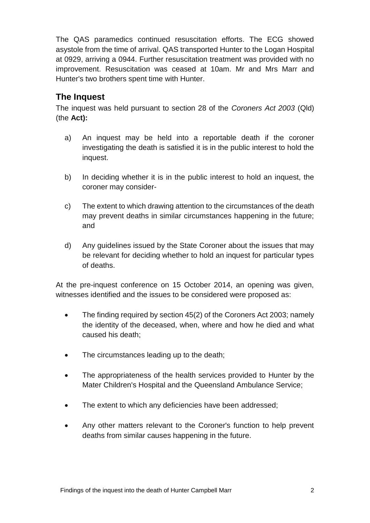The QAS paramedics continued resuscitation efforts. The ECG showed asystole from the time of arrival. QAS transported Hunter to the Logan Hospital at 0929, arriving a 0944. Further resuscitation treatment was provided with no improvement. Resuscitation was ceased at 10am. Mr and Mrs Marr and Hunter's two brothers spent time with Hunter.

# **The Inquest**

The inquest was held pursuant to section 28 of the *Coroners Act 2003* (Qld) (the **Act):**

- a) An inquest may be held into a reportable death if the coroner investigating the death is satisfied it is in the public interest to hold the inquest.
- b) In deciding whether it is in the public interest to hold an inquest, the coroner may consider-
- c) The extent to which drawing attention to the circumstances of the death may prevent deaths in similar circumstances happening in the future; and
- d) Any guidelines issued by the State Coroner about the issues that may be relevant for deciding whether to hold an inquest for particular types of deaths.

At the pre-inquest conference on 15 October 2014, an opening was given, witnesses identified and the issues to be considered were proposed as:

- The finding required by section 45(2) of the Coroners Act 2003; namely the identity of the deceased, when, where and how he died and what caused his death;
- The circumstances leading up to the death;
- The appropriateness of the health services provided to Hunter by the Mater Children's Hospital and the Queensland Ambulance Service;
- The extent to which any deficiencies have been addressed;
- Any other matters relevant to the Coroner's function to help prevent deaths from similar causes happening in the future.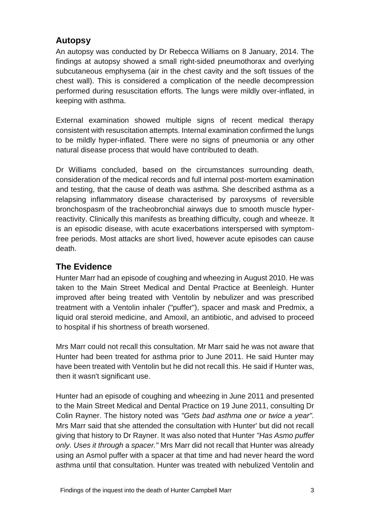# **Autopsy**

An autopsy was conducted by Dr Rebecca Williams on 8 January, 2014. The findings at autopsy showed a small right-sided pneumothorax and overlying subcutaneous emphysema (air in the chest cavity and the soft tissues of the chest wall). This is considered a complication of the needle decompression performed during resuscitation efforts. The lungs were mildly over-inflated, in keeping with asthma.

External examination showed multiple signs of recent medical therapy consistent with resuscitation attempts. Internal examination confirmed the lungs to be mildly hyper-inflated. There were no signs of pneumonia or any other natural disease process that would have contributed to death.

Dr Williams concluded, based on the circumstances surrounding death, consideration of the medical records and full internal post-mortem examination and testing, that the cause of death was asthma. She described asthma as a relapsing inflammatory disease characterised by paroxysms of reversible bronchospasm of the tracheobronchial airways due to smooth muscle hyperreactivity. Clinically this manifests as breathing difficulty, cough and wheeze. It is an episodic disease, with acute exacerbations interspersed with symptomfree periods. Most attacks are short lived, however acute episodes can cause death.

# **The Evidence**

Hunter Marr had an episode of coughing and wheezing in August 2010. He was taken to the Main Street Medical and Dental Practice at Beenleigh. Hunter improved after being treated with Ventolin by nebulizer and was prescribed treatment with a Ventolin inhaler ("puffer"), spacer and mask and Predmix, a liquid oral steroid medicine, and Amoxil, an antibiotic, and advised to proceed to hospital if his shortness of breath worsened.

Mrs Marr could not recall this consultation. Mr Marr said he was not aware that Hunter had been treated for asthma prior to June 2011. He said Hunter may have been treated with Ventolin but he did not recall this. He said if Hunter was, then it wasn't significant use.

Hunter had an episode of coughing and wheezing in June 2011 and presented to the Main Street Medical and Dental Practice on 19 June 2011, consulting Dr Colin Rayner. The history noted was *"Gets bad asthma one or twice* a *year".*  Mrs Marr said that she attended the consultation with Hunter' but did not recall giving that history to Dr Rayner. It was also noted that Hunter *"Has Asmo puffer only. Uses it through* a *spacer."* Mrs Marr did not recall that Hunter was already using an Asmol puffer with a spacer at that time and had never heard the word asthma until that consultation. Hunter was treated with nebulized Ventolin and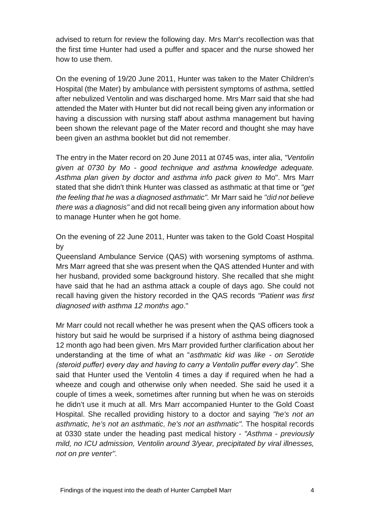advised to return for review the following day. Mrs Marr's recollection was that the first time Hunter had used a puffer and spacer and the nurse showed her how to use them.

On the evening of 19/20 June 2011, Hunter was taken to the Mater Children's Hospital (the Mater) by ambulance with persistent symptoms of asthma, settled after nebulized Ventolin and was discharged home. Mrs Marr said that she had attended the Mater with Hunter but did not recall being given any information or having a discussion with nursing staff about asthma management but having been shown the relevant page of the Mater record and thought she may have been given an asthma booklet but did not remember.

The entry in the Mater record on 20 June 2011 at 0745 was, inter alia, *"Ventolin given at 0730 by Mo* - *good technique and asthma knowledge adequate. Asthma plan given by doctor and asthma info pack given to* Mo". Mrs Marr stated that she didn't think Hunter was classed as asthmatic at that time or *"get the feeling that he was a diagnosed asthmatic".* Mr Marr said he *"did not believe there was a diagnosis"* and did not recall being given any information about how to manage Hunter when he got home.

On the evening of 22 June 2011, Hunter was taken to the Gold Coast Hospital by

Queensland Ambulance Service (QAS) with worsening symptoms of asthma. Mrs Marr agreed that she was present when the QAS attended Hunter and with her husband, provided some background history. She recalled that she might have said that he had an asthma attack a couple of days ago. She could not recall having given the history recorded in the QAS records *"Patient was first diagnosed with asthma 12 months ago*."

Mr Marr could not recall whether he was present when the QAS officers took a history but said he would be surprised if a history of asthma being diagnosed 12 month ago had been given. Mrs Marr provided further clarification about her understanding at the time of what an "*asthmatic kid was like - on Serotide (steroid puffer) every day and having to carry a Ventolin puffer every day"*. She said that Hunter used the Ventolin 4 times a day if required when he had a wheeze and cough and otherwise only when needed. She said he used it a couple of times a week, sometimes after running but when he was on steroids he didn't use it much at all. Mrs Marr accompanied Hunter to the Gold Coast Hospital. She recalled providing history to a doctor and saying *"he's not an asthmatic, he's not an asthmatic, he's not an asthmatic".* The hospital records at 0330 state under the heading past medical history - *"Asthma* - *previously mild, no ICU admission, Ventolin around 3/year, precipitated by viral illnesses, not on pre venter''.*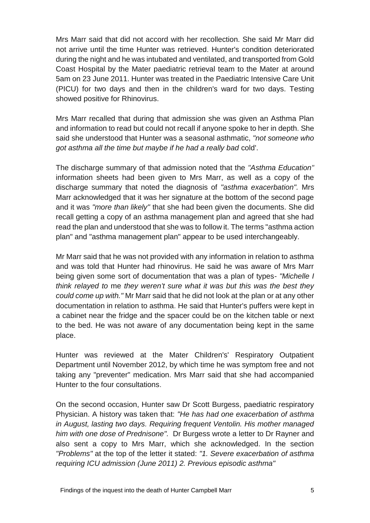Mrs Marr said that did not accord with her recollection. She said Mr Marr did not arrive until the time Hunter was retrieved. Hunter's condition deteriorated during the night and he was intubated and ventilated, and transported from Gold Coast Hospital by the Mater paediatric retrieval team to the Mater at around 5am on 23 June 2011. Hunter was treated in the Paediatric Intensive Care Unit (PICU) for two days and then in the children's ward for two days. Testing showed positive for Rhinovirus.

Mrs Marr recalled that during that admission she was given an Asthma Plan and information to read but could not recall if anyone spoke to her in depth. She said she understood that Hunter was a seasonal asthmatic, *"not someone who got asthma all the time but maybe if he had a really bad* cold'.

The discharge summary of that admission noted that the *"Asthma Education"*  information sheets had been given to Mrs Marr, as well as a copy of the discharge summary that noted the diagnosis of *"asthma exacerbation".* Mrs Marr acknowledged that it was her signature at the bottom of the second page and it was *"more than likely''* that she had been given the documents. She did recall getting a copy of an asthma management plan and agreed that she had read the plan and understood that she was to follow it. The terms "asthma action plan" and "asthma management plan" appear to be used interchangeably.

Mr Marr said that he was not provided with any information in relation to asthma and was told that Hunter had rhinovirus. He said he was aware of Mrs Marr being given some sort of documentation that was a plan of types- *"Michelle I think relayed to* me *they weren't sure what it was but this was the best they could come up with."* Mr Marr said that he did not look at the plan or at any other documentation in relation to asthma. He said that Hunter's puffers were kept in a cabinet near the fridge and the spacer could be on the kitchen table or next to the bed. He was not aware of any documentation being kept in the same place.

Hunter was reviewed at the Mater Children's' Respiratory Outpatient Department until November 2012, by which time he was symptom free and not taking any "preventer" medication. Mrs Marr said that she had accompanied Hunter to the four consultations.

On the second occasion, Hunter saw Dr Scott Burgess, paediatric respiratory Physician. A history was taken that: *"He has had one exacerbation of asthma in August, lasting two days. Requiring frequent Ventolin. His mother managed him with one dose of Prednisone".* Dr Burgess wrote a letter to Dr Rayner and also sent a copy to Mrs Marr, which she acknowledged. In the section *"Problems"* at the top of the letter it stated: *"1. Severe exacerbation of asthma requiring ICU admission (June 2011) 2. Previous episodic asthma"*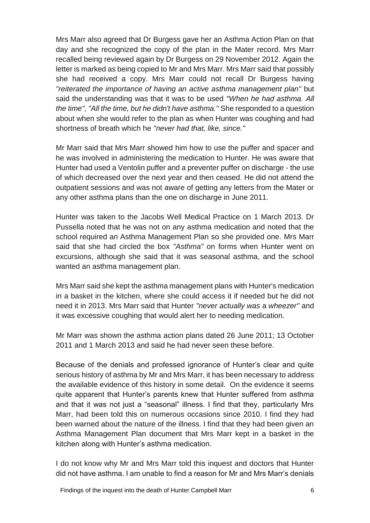Mrs Marr also agreed that Dr Burgess gave her an Asthma Action Plan on that day and she recognized the copy of the plan in the Mater record. Mrs Marr recalled being reviewed again by Dr Burgess on 29 November 2012. Again the letter is marked as being copied to Mr and Mrs Marr. Mrs Marr said that possibly she had received a copy. Mrs Marr could not recall Dr Burgess having *"reiterated the importance of having an active asthma management plan"* but said the understanding was that it was to be used *"When he had asthma. All the time", "All the time, but he didn't have asthma."* She responded to a question about when she would refer to the plan as when Hunter was coughing and had shortness of breath which he *"never had that, like, since."*

Mr Marr said that Mrs Marr showed him how to use the puffer and spacer and he was involved in administering the medication to Hunter. He was aware that Hunter had used a Ventolin puffer and a preventer puffer on discharge - the use of which decreased over the next year and then ceased. He did not attend the outpatient sessions and was not aware of getting any letters from the Mater or any other asthma plans than the one on discharge in June 2011.

Hunter was taken to the Jacobs Well Medical Practice on 1 March 2013. Dr Pussella noted that he was not on any asthma medication and noted that the school required an Asthma Management Plan so she provided one. Mrs Marr said that she had circled the box *"Asthma"* on forms when Hunter went on excursions, although she said that it was seasonal asthma, and the school wanted an asthma management plan.

Mrs Marr said she kept the asthma management plans with Hunter's medication in a basket in the kitchen, where she could access it if needed but he did not need it in 2013. Mrs Marr said that Hunter *"never actually was* a *wheezer''* and it was excessive coughing that would alert her to needing medication.

Mr Marr was shown the asthma action plans dated 26 June 2011; 13 October 2011 and 1 March 2013 and said he had never seen these before.

Because of the denials and professed ignorance of Hunter's clear and quite serious history of asthma by Mr and Mrs Marr, it has been necessary to address the available evidence of this history in some detail. On the evidence it seems quite apparent that Hunter's parents knew that Hunter suffered from asthma and that it was not just a "seasonal" illness. I find that they, particularly Mrs Marr, had been told this on numerous occasions since 2010. I find they had been warned about the nature of the illness. I find that they had been given an Asthma Management Plan document that Mrs Marr kept in a basket in the kitchen along with Hunter's asthma medication.

I do not know why Mr and Mrs Marr told this inquest and doctors that Hunter did not have asthma. I am unable to find a reason for Mr and Mrs Marr's denials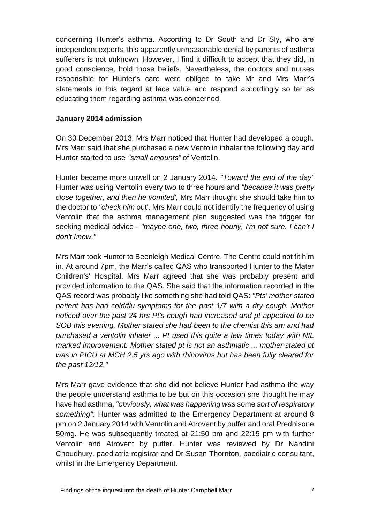concerning Hunter's asthma. According to Dr South and Dr Sly, who are independent experts, this apparently unreasonable denial by parents of asthma sufferers is not unknown. However, I find it difficult to accept that they did, in good conscience, hold those beliefs. Nevertheless, the doctors and nurses responsible for Hunter's care were obliged to take Mr and Mrs Marr's statements in this regard at face value and respond accordingly so far as educating them regarding asthma was concerned.

#### **January 2014 admission**

On 30 December 2013, Mrs Marr noticed that Hunter had developed a cough. Mrs Marr said that she purchased a new Ventolin inhaler the following day and Hunter started to use *"small amounts"* of Ventolin.

Hunter became more unwell on 2 January 2014. *"Toward the end of the day"*  Hunter was using Ventolin every two to three hours and *"because it was pretty close together, and then he vomited',* Mrs Marr thought she should take him to the doctor to *"check him* out'. Mrs Marr could not identify the frequency of using Ventolin that the asthma management plan suggested was the trigger for seeking medical advice - *"maybe one, two, three hourly, I'm not sure. I can't-I don't know."*

Mrs Marr took Hunter to Beenleigh Medical Centre. The Centre could not fit him in. At around 7pm, the Marr's called QAS who transported Hunter to the Mater Children's' Hospital. Mrs Marr agreed that she was probably present and provided information to the QAS. She said that the information recorded in the QAS record was probably like something she had told QAS: *"Pts' mother stated patient has had cold/flu symptoms for the past 1/7 with a dry cough. Mother noticed over the past 24 hrs Pt's cough had increased and pt appeared to be SOB this evening. Mother stated she had been to the chemist this am and had purchased a ventolin inhaler ... Pt used this quite a few times today with NIL marked improvement. Mother stated pt is not an asthmatic ... mother stated pt was in PICU at MCH 2.5 yrs ago with rhinovirus but has been fully cleared for the past 12/12."* 

Mrs Marr gave evidence that she did not believe Hunter had asthma the way the people understand asthma to be but on this occasion she thought he may have had asthma, *"obviously, what was happening was* some *sort of respiratory something''.* Hunter was admitted to the Emergency Department at around 8 pm on 2 January 2014 with Ventolin and Atrovent by puffer and oral Prednisone 50mg. He was subsequently treated at 21:50 pm and 22:15 pm with further Ventolin and Atrovent by puffer. Hunter was reviewed by Dr Nandini Choudhury, paediatric registrar and Dr Susan Thornton, paediatric consultant, whilst in the Emergency Department.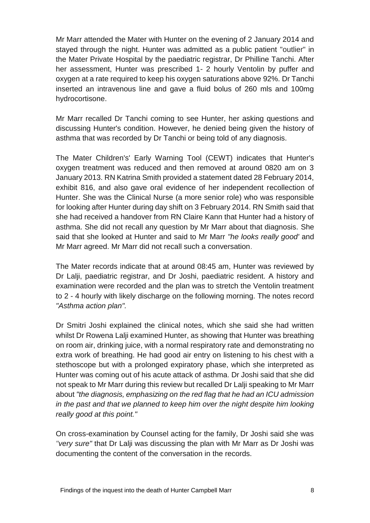Mr Marr attended the Mater with Hunter on the evening of 2 January 2014 and stayed through the night. Hunter was admitted as a public patient "outlier" in the Mater Private Hospital by the paediatric registrar, Dr Philline Tanchi. After her assessment, Hunter was prescribed 1- 2 hourly Ventolin by puffer and oxygen at a rate required to keep his oxygen saturations above 92%. Dr Tanchi inserted an intravenous line and gave a fluid bolus of 260 mls and 100mg hydrocortisone.

Mr Marr recalled Dr Tanchi coming to see Hunter, her asking questions and discussing Hunter's condition. However, he denied being given the history of asthma that was recorded by Dr Tanchi or being told of any diagnosis.

The Mater Children's' Early Warning Tool (CEWT) indicates that Hunter's oxygen treatment was reduced and then removed at around 0820 am on 3 January 2013. RN Katrina Smith provided a statement dated 28 February 2014, exhibit 816, and also gave oral evidence of her independent recollection of Hunter. She was the Clinical Nurse (a more senior role) who was responsible for looking after Hunter during day shift on 3 February 2014. RN Smith said that she had received a handover from RN Claire Kann that Hunter had a history of asthma. She did not recall any question by Mr Marr about that diagnosis. She said that she looked at Hunter and said to Mr Marr *"he looks really good'* and Mr Marr agreed. Mr Marr did not recall such a conversation.

The Mater records indicate that at around 08:45 am, Hunter was reviewed by Dr Lalji, paediatric registrar, and Dr Joshi, paediatric resident. A history and examination were recorded and the plan was to stretch the Ventolin treatment to 2 - 4 hourly with likely discharge on the following morning. The notes record *"Asthma action plan".*

Dr Smitri Joshi explained the clinical notes, which she said she had written whilst Dr Rowena Lalji examined Hunter, as showing that Hunter was breathing on room air, drinking juice, with a normal respiratory rate and demonstrating no extra work of breathing. He had good air entry on listening to his chest with a stethoscope but with a prolonged expiratory phase, which she interpreted as Hunter was coming out of his acute attack of asthma. Dr Joshi said that she did not speak to Mr Marr during this review but recalled Dr Lalji speaking to Mr Marr about *"the diagnosis, emphasizing on the red flag that he had an ICU admission in the past and that we planned to keep him over the night despite him looking really good at this point."*

On cross-examination by Counsel acting for the family, Dr Joshi said she was *"very sure"* that Dr Lalji was discussing the plan with Mr Marr as Dr Joshi was documenting the content of the conversation in the records.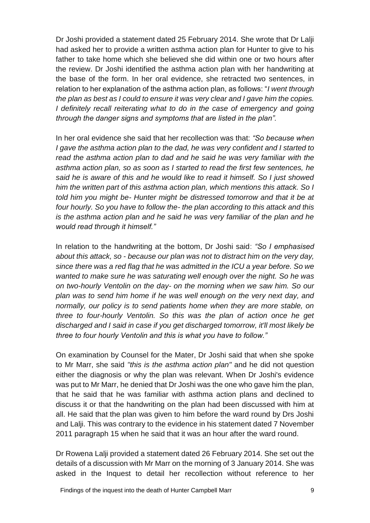Dr Joshi provided a statement dated 25 February 2014. She wrote that Dr Lalji had asked her to provide a written asthma action plan for Hunter to give to his father to take home which she believed she did within one or two hours after the review. Dr Joshi identified the asthma action plan with her handwriting at the base of the form. In her oral evidence, she retracted two sentences, in relation to her explanation of the asthma action plan, as follows: "*I went through the plan as best as I could to ensure it was very clear and I gave him the copies. I definitely recall reiterating what to do in the case of emergency and going through the danger signs and symptoms that are listed in the plan".* 

In her oral evidence she said that her recollection was that: *"So because when I gave the asthma action plan to the dad, he was very confident and I started to read the asthma action plan to dad and he said he was very familiar with the asthma action plan, so as soon as I started to read the first few sentences, he said he is aware of this and he would like to read it himself. So I just showed him the written part of this asthma action plan, which mentions this attack. So I told him you might be- Hunter might be distressed tomorrow and that it be at four hourly. So you have to follow the- the plan according to this attack and this is the asthma action plan and he said he was very familiar of the plan and he would read through it himself."*

In relation to the handwriting at the bottom, Dr Joshi said: *"So I emphasised about this attack, so* - *because our plan was not to distract him on the very day, since there was a red flag that he was admitted in the ICU a year before. So we wanted to make sure he was saturating well enough over the night. So he was on two-hourly Ventolin on the day- on the morning when we saw him. So our plan was to send him home if he was well enough on the very next day, and normally, our policy is to send patients home when they are more stable, on three to four-hourly Ventolin. So this was the plan of action once he get discharged and I said in case if you get discharged tomorrow, it'll most likely be three to four hourly Ventolin and this is what you have to follow."*

On examination by Counsel for the Mater, Dr Joshi said that when she spoke to Mr Marr, she said *"this is the asthma action plan"* and he did not question either the diagnosis or why the plan was relevant. When Dr Joshi's evidence was put to Mr Marr, he denied that Dr Joshi was the one who gave him the plan, that he said that he was familiar with asthma action plans and declined to discuss it or that the handwriting on the plan had been discussed with him at all. He said that the plan was given to him before the ward round by Drs Joshi and Lalji. This was contrary to the evidence in his statement dated 7 November 2011 paragraph 15 when he said that it was an hour after the ward round.

Dr Rowena Lalji provided a statement dated 26 February 2014. She set out the details of a discussion with Mr Marr on the morning of 3 January 2014. She was asked in the Inquest to detail her recollection without reference to her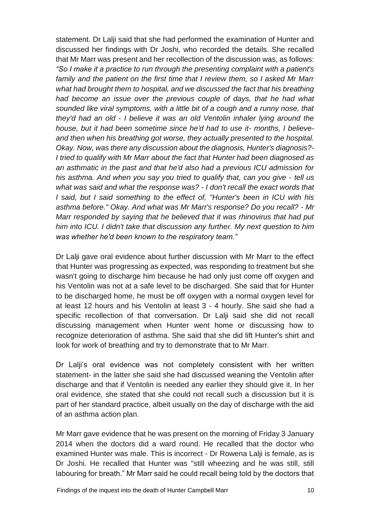statement. Dr Lalji said that she had performed the examination of Hunter and discussed her findings with Dr Joshi, who recorded the details. She recalled that Mr Marr was present and her recollection of the discussion was, as follows: *"So I make it a practice to run through the presenting complaint with a patient's family and the patient on the first time that I review them, so I asked Mr Marr what had brought them to hospital, and we discussed the fact that his breathing had become an issue over the previous couple of days, that he had what sounded like viral symptoms, with a little bit of a cough and a runny nose, that they'd had an old* - *I believe it was an old Ventolin inhaler lying around the house, but it had been sometime since he'd had to use it- months, I believeand then when his breathing got worse, they actually presented to the hospital. Okay. Now, was there any discussion about the diagnosis, Hunter's diagnosis?- I tried to qualify with Mr Marr about the fact that Hunter had been diagnosed as an asthmatic in the past and that he'd also had a previous ICU admission for*  his asthma. And when you say you tried to qualify that, can you give - *tell us what was said and what the response was? - I don't recall the exact words that I said, but I said something to the effect of, "Hunter's been in ICU with his asthma before." Okay. And what was Mr Marr's response? Do you recall? - Mr Marr responded by saying that he believed that it was rhinovirus that had put him into ICU. I didn't take that discussion any further. My next question to him was whether he'd been known to the respiratory team."*

Dr Lalji gave oral evidence about further discussion with Mr Marr to the effect that Hunter was progressing as expected, was responding to treatment but she wasn't going to discharge him because he had only just come off oxygen and his Ventolin was not at a safe level to be discharged. She said that for Hunter to be discharged home, he must be off oxygen with a normal oxygen level for at least 12 hours and his Ventolin at least 3 - 4 hourly. She said she had a specific recollection of that conversation. Dr Lalji said she did not recall discussing management when Hunter went home or discussing how to recognize deterioration of asthma. She said that she did lift Hunter's shirt and look for work of breathing and try to demonstrate that to Mr Marr.

Dr Lalji's oral evidence was not completely consistent with her written statement- in the latter she said she had discussed weaning the Ventolin after discharge and that if Ventolin is needed any earlier they should give it. In her oral evidence, she stated that she could not recall such a discussion but it is part of her standard practice, albeit usually on the day of discharge with the aid of an asthma action plan.

Mr Marr gave evidence that he was present on the morning of Friday 3 January 2014 when the doctors did a ward round. He recalled that the doctor who examined Hunter was male. This is incorrect - Dr Rowena Lalji is female, as is Dr Joshi. He recalled that Hunter was "still wheezing and he was still, still labouring for breath." Mr Marr said he could recall being told by the doctors that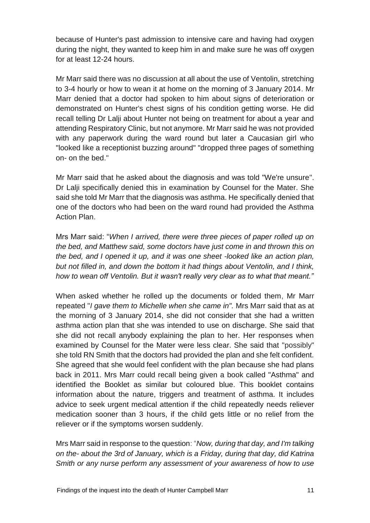because of Hunter's past admission to intensive care and having had oxygen during the night, they wanted to keep him in and make sure he was off oxygen for at least 12-24 hours.

Mr Marr said there was no discussion at all about the use of Ventolin, stretching to 3-4 hourly or how to wean it at home on the morning of 3 January 2014. Mr Marr denied that a doctor had spoken to him about signs of deterioration or demonstrated on Hunter's chest signs of his condition getting worse. He did recall telling Dr Lalji about Hunter not being on treatment for about a year and attending Respiratory Clinic, but not anymore. Mr Marr said he was not provided with any paperwork during the ward round but later a Caucasian girl who "looked like a receptionist buzzing around" "dropped three pages of something on- on the bed."

Mr Marr said that he asked about the diagnosis and was told "We're unsure". Dr Lalji specifically denied this in examination by Counsel for the Mater. She said she told Mr Marr that the diagnosis was asthma. He specifically denied that one of the doctors who had been on the ward round had provided the Asthma Action Plan.

Mrs Marr said: "*When I arrived, there were three pieces of paper rolled up on the bed, and Matthew said, some doctors have just come in and thrown this on the bed, and I opened it up, and it was one sheet -looked like an action plan, but not filled in, and down the bottom it had things about Ventolin, and I think, how to wean off Ventolin. But it wasn't really very clear as to what that meant."*

When asked whether he rolled up the documents or folded them, Mr Marr repeated "*I gave them to Michelle when she came in".* Mrs Marr said that as at the morning of 3 January 2014, she did not consider that she had a written asthma action plan that she was intended to use on discharge. She said that she did not recall anybody explaining the plan to her. Her responses when examined by Counsel for the Mater were less clear. She said that "possibly" she told RN Smith that the doctors had provided the plan and she felt confident. She agreed that she would feel confident with the plan because she had plans back in 2011. Mrs Marr could recall being given a book called "Asthma" and identified the Booklet as similar but coloured blue. This booklet contains information about the nature, triggers and treatment of asthma. It includes advice to seek urgent medical attention if the child repeatedly needs reliever medication sooner than 3 hours, if the child gets little or no relief from the reliever or if the symptoms worsen suddenly.

Mrs Marr said in response to the question: "*Now, during that day, and I'm talking on the- about the 3rd of January, which is a Friday, during that day, did Katrina Smith or any nurse perform any assessment of your awareness of how to use*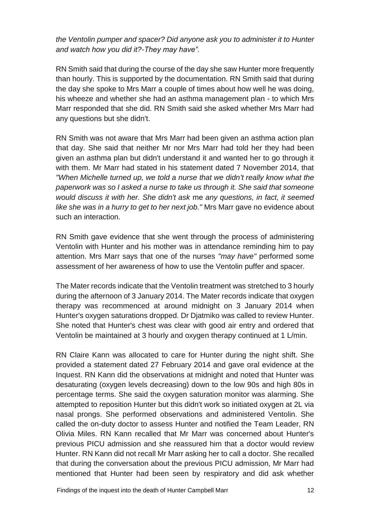*the Ventolin pumper and spacer? Did anyone ask you to administer it to Hunter and watch how you did it?-They may have".*

RN Smith said that during the course of the day she saw Hunter more frequently than hourly. This is supported by the documentation. RN Smith said that during the day she spoke to Mrs Marr a couple of times about how well he was doing, his wheeze and whether she had an asthma management plan - to which Mrs Marr responded that she did. RN Smith said she asked whether Mrs Marr had any questions but she didn't.

RN Smith was not aware that Mrs Marr had been given an asthma action plan that day. She said that neither Mr nor Mrs Marr had told her they had been given an asthma plan but didn't understand it and wanted her to go through it with them. Mr Marr had stated in his statement dated 7 November 2014, that *"When Michelle turned up, we told a nurse that we didn't really know what the paperwork was so I asked a nurse to take us through it. She said that someone would discuss it with her. She didn't ask* me *any questions, in fact, it seemed like she was in a hurry to get to her next job."* Mrs Marr gave no evidence about such an interaction.

RN Smith gave evidence that she went through the process of administering Ventolin with Hunter and his mother was in attendance reminding him to pay attention. Mrs Marr says that one of the nurses *"may have"* performed some assessment of her awareness of how to use the Ventolin puffer and spacer.

The Mater records indicate that the Ventolin treatment was stretched to 3 hourly during the afternoon of 3 January 2014. The Mater records indicate that oxygen therapy was recommenced at around midnight on 3 January 2014 when Hunter's oxygen saturations dropped. Dr Djatmiko was called to review Hunter. She noted that Hunter's chest was clear with good air entry and ordered that Ventolin be maintained at 3 hourly and oxygen therapy continued at 1 L/min.

RN Claire Kann was allocated to care for Hunter during the night shift. She provided a statement dated 27 February 2014 and gave oral evidence at the Inquest. RN Kann did the observations at midnight and noted that Hunter was desaturating (oxygen levels decreasing) down to the low 90s and high 80s in percentage terms. She said the oxygen saturation monitor was alarming. She attempted to reposition Hunter but this didn't work so initiated oxygen at 2L via nasal prongs. She performed observations and administered Ventolin. She called the on-duty doctor to assess Hunter and notified the Team Leader, RN Olivia Miles. RN Kann recalled that Mr Marr was concerned about Hunter's previous PICU admission and she reassured him that a doctor would review Hunter. RN Kann did not recall Mr Marr asking her to call a doctor. She recalled that during the conversation about the previous PICU admission, Mr Marr had mentioned that Hunter had been seen by respiratory and did ask whether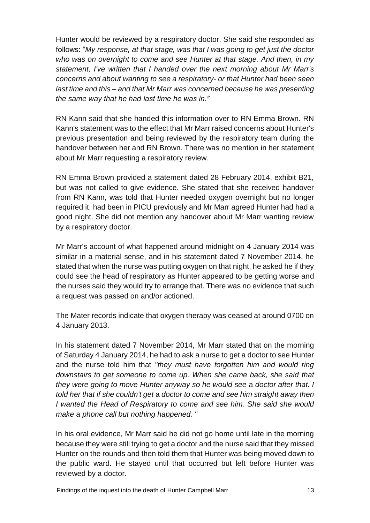Hunter would be reviewed by a respiratory doctor. She said she responded as follows: "*My response, at that stage, was that I was going to get just the doctor who was on overnight to come and see Hunter at that stage. And then, in my statement, I've written that I handed over the next morning about Mr Marr's concerns and about wanting to see a respiratory- or that Hunter had been seen last time and this* – *and that Mr Marr was concerned because he was presenting the same way that he had last time he was in."*

RN Kann said that she handed this information over to RN Emma Brown. RN Kann's statement was to the effect that Mr Marr raised concerns about Hunter's previous presentation and being reviewed by the respiratory team during the handover between her and RN Brown. There was no mention in her statement about Mr Marr requesting a respiratory review.

RN Emma Brown provided a statement dated 28 February 2014, exhibit B21, but was not called to give evidence. She stated that she received handover from RN Kann, was told that Hunter needed oxygen overnight but no longer required it, had been in PICU previously and Mr Marr agreed Hunter had had a good night. She did not mention any handover about Mr Marr wanting review by a respiratory doctor.

Mr Marr's account of what happened around midnight on 4 January 2014 was similar in a material sense, and in his statement dated 7 November 2014, he stated that when the nurse was putting oxygen on that night, he asked he if they could see the head of respiratory as Hunter appeared to be getting worse and the nurses said they would try to arrange that. There was no evidence that such a request was passed on and/or actioned.

The Mater records indicate that oxygen therapy was ceased at around 0700 on 4 January 2013.

In his statement dated 7 November 2014, Mr Marr stated that on the morning of Saturday 4 January 2014, he had to ask a nurse to get a doctor to see Hunter and the nurse told him that *"they must have forgotten him and would ring downstairs to get someone to come up. When she came back, she said that they were going to move Hunter anyway so he would see* a *doctor after that. I told her that if she couldn't get* a *doctor to come and see him straight away then I wanted the Head of Respiratory to come and see him. She said she would make* a *phone call but nothing happened. "*

In his oral evidence, Mr Marr said he did not go home until late in the morning because they were still trying to get a doctor and the nurse said that they missed Hunter on the rounds and then told them that Hunter was being moved down to the public ward. He stayed until that occurred but left before Hunter was reviewed by a doctor.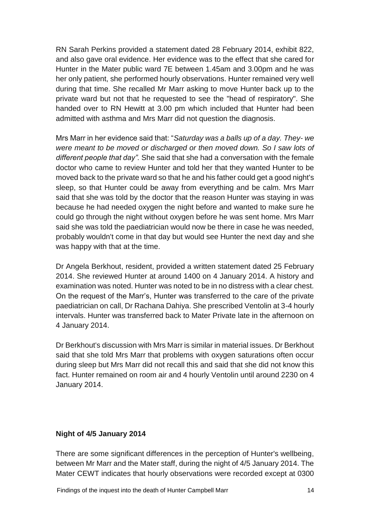RN Sarah Perkins provided a statement dated 28 February 2014, exhibit 822, and also gave oral evidence. Her evidence was to the effect that she cared for Hunter in the Mater public ward 7E between 1.45am and 3.00pm and he was her only patient, she performed hourly observations. Hunter remained very well during that time. She recalled Mr Marr asking to move Hunter back up to the private ward but not that he requested to see the "head of respiratory". She handed over to RN Hewitt at 3.00 pm which included that Hunter had been admitted with asthma and Mrs Marr did not question the diagnosis.

Mrs Marr in her evidence said that: "*Saturday was a balls up of a day. They- we were meant to be moved or discharged or then moved down. So I saw lots of different people that day".* She said that she had a conversation with the female doctor who came to review Hunter and told her that they wanted Hunter to be moved back to the private ward so that he and his father could get a good night's sleep, so that Hunter could be away from everything and be calm. Mrs Marr said that she was told by the doctor that the reason Hunter was staying in was because he had needed oxygen the night before and wanted to make sure he could go through the night without oxygen before he was sent home. Mrs Marr said she was told the paediatrician would now be there in case he was needed, probably wouldn't come in that day but would see Hunter the next day and she was happy with that at the time.

Dr Angela Berkhout, resident, provided a written statement dated 25 February 2014. She reviewed Hunter at around 1400 on 4 January 2014. A history and examination was noted. Hunter was noted to be in no distress with a clear chest. On the request of the Marr's, Hunter was transferred to the care of the private paediatrician on call, Dr Rachana Dahiya. She prescribed Ventolin at 3-4 hourly intervals. Hunter was transferred back to Mater Private late in the afternoon on 4 January 2014.

Dr Berkhout's discussion with Mrs Marr is similar in material issues. Dr Berkhout said that she told Mrs Marr that problems with oxygen saturations often occur during sleep but Mrs Marr did not recall this and said that she did not know this fact. Hunter remained on room air and 4 hourly Ventolin until around 2230 on 4 January 2014.

#### **Night of 4/5 January 2014**

There are some significant differences in the perception of Hunter's wellbeing, between Mr Marr and the Mater staff, during the night of 4/5 January 2014. The Mater CEWT indicates that hourly observations were recorded except at 0300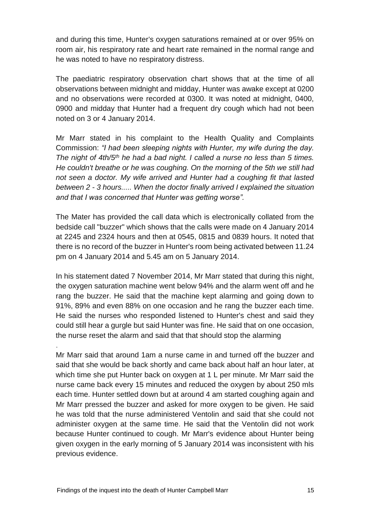and during this time, Hunter's oxygen saturations remained at or over 95% on room air, his respiratory rate and heart rate remained in the normal range and he was noted to have no respiratory distress.

The paediatric respiratory observation chart shows that at the time of all observations between midnight and midday, Hunter was awake except at 0200 and no observations were recorded at 0300. It was noted at midnight, 0400, 0900 and midday that Hunter had a frequent dry cough which had not been noted on 3 or 4 January 2014.

Mr Marr stated in his complaint to the Health Quality and Complaints Commission: *"I had been sleeping nights with Hunter, my wife during the day. The night of 4th/5th he had a bad night. I called a nurse no less than 5 times. He couldn't breathe or he was coughing. On the morning of the 5th we still had not seen a doctor. My wife arrived and Hunter had a coughing fit that lasted between 2* - *3 hours..... When the doctor finally arrived I explained the situation and that I was concerned that Hunter was getting worse".*

The Mater has provided the call data which is electronically collated from the bedside call "buzzer" which shows that the calls were made on 4 January 2014 at 2245 and 2324 hours and then at 0545, 0815 and 0839 hours. It noted that there is no record of the buzzer in Hunter's room being activated between 11.24 pm on 4 January 2014 and 5.45 am on 5 January 2014.

In his statement dated 7 November 2014, Mr Marr stated that during this night, the oxygen saturation machine went below 94% and the alarm went off and he rang the buzzer. He said that the machine kept alarming and going down to 91%, 89% and even 88% on one occasion and he rang the buzzer each time. He said the nurses who responded listened to Hunter's chest and said they could still hear a gurgle but said Hunter was fine. He said that on one occasion, the nurse reset the alarm and said that that should stop the alarming

Mr Marr said that around 1am a nurse came in and turned off the buzzer and said that she would be back shortly and came back about half an hour later, at which time she put Hunter back on oxygen at 1 L per minute. Mr Marr said the nurse came back every 15 minutes and reduced the oxygen by about 250 mls each time. Hunter settled down but at around 4 am started coughing again and Mr Marr pressed the buzzer and asked for more oxygen to be given. He said he was told that the nurse administered Ventolin and said that she could not administer oxygen at the same time. He said that the Ventolin did not work because Hunter continued to cough. Mr Marr's evidence about Hunter being given oxygen in the early morning of 5 January 2014 was inconsistent with his previous evidence.

.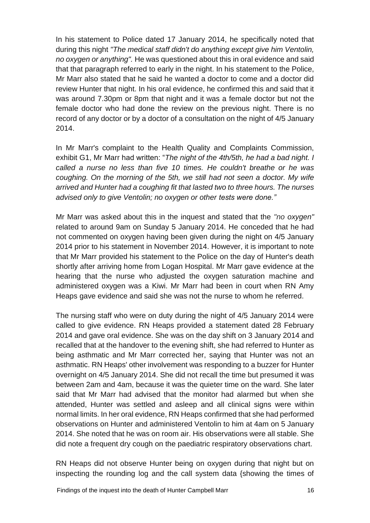In his statement to Police dated 17 January 2014, he specifically noted that during this night *"The medical staff didn't do anything except give him Ventolin, no oxygen or anything".* He was questioned about this in oral evidence and said that that paragraph referred to early in the night. In his statement to the Police, Mr Marr also stated that he said he wanted a doctor to come and a doctor did review Hunter that night. In his oral evidence, he confirmed this and said that it was around 7.30pm or 8pm that night and it was a female doctor but not the female doctor who had done the review on the previous night. There is no record of any doctor or by a doctor of a consultation on the night of 4/5 January 2014.

In Mr Marr's complaint to the Health Quality and Complaints Commission, exhibit G1, Mr Marr had written: "*The night of the 4th/5th, he had a bad night. I called a nurse no less than five 10 times. He couldn't breathe or he was coughing. On the morning of the 5th, we still had not seen a doctor. My wife arrived and Hunter had a coughing fit that lasted two to three hours. The nurses advised only to give Ventolin; no oxygen or other tests were done."*

Mr Marr was asked about this in the inquest and stated that the *"no oxygen"*  related to around 9am on Sunday 5 January 2014. He conceded that he had not commented on oxygen having been given during the night on 4/5 January 2014 prior to his statement in November 2014. However, it is important to note that Mr Marr provided his statement to the Police on the day of Hunter's death shortly after arriving home from Logan Hospital. Mr Marr gave evidence at the hearing that the nurse who adjusted the oxygen saturation machine and administered oxygen was a Kiwi. Mr Marr had been in court when RN Amy Heaps gave evidence and said she was not the nurse to whom he referred.

The nursing staff who were on duty during the night of 4/5 January 2014 were called to give evidence. RN Heaps provided a statement dated 28 February 2014 and gave oral evidence. She was on the day shift on 3 January 2014 and recalled that at the handover to the evening shift, she had referred to Hunter as being asthmatic and Mr Marr corrected her, saying that Hunter was not an asthmatic. RN Heaps' other involvement was responding to a buzzer for Hunter overnight on 4/5 January 2014. She did not recall the time but presumed it was between 2am and 4am, because it was the quieter time on the ward. She later said that Mr Marr had advised that the monitor had alarmed but when she attended, Hunter was settled and asleep and all clinical signs were within normal limits. In her oral evidence, RN Heaps confirmed that she had performed observations on Hunter and administered Ventolin to him at 4am on 5 January 2014. She noted that he was on room air. His observations were all stable. She did note a frequent dry cough on the paediatric respiratory observations chart.

RN Heaps did not observe Hunter being on oxygen during that night but on inspecting the rounding log and the call system data {showing the times of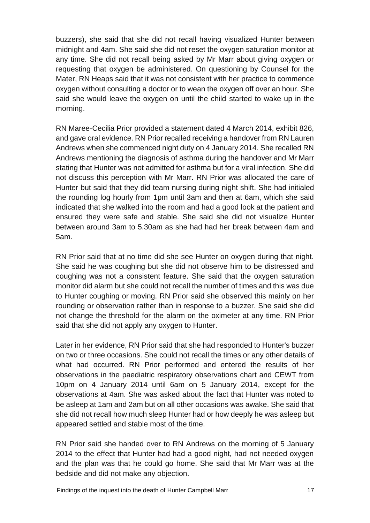buzzers), she said that she did not recall having visualized Hunter between midnight and 4am. She said she did not reset the oxygen saturation monitor at any time. She did not recall being asked by Mr Marr about giving oxygen or requesting that oxygen be administered. On questioning by Counsel for the Mater, RN Heaps said that it was not consistent with her practice to commence oxygen without consulting a doctor or to wean the oxygen off over an hour. She said she would leave the oxygen on until the child started to wake up in the morning.

RN Maree-Cecilia Prior provided a statement dated 4 March 2014, exhibit 826, and gave oral evidence. RN Prior recalled receiving a handover from RN Lauren Andrews when she commenced night duty on 4 January 2014. She recalled RN Andrews mentioning the diagnosis of asthma during the handover and Mr Marr stating that Hunter was not admitted for asthma but for a viral infection. She did not discuss this perception with Mr Marr. RN Prior was allocated the care of Hunter but said that they did team nursing during night shift. She had initialed the rounding log hourly from 1pm until 3am and then at 6am, which she said indicated that she walked into the room and had a good look at the patient and ensured they were safe and stable. She said she did not visualize Hunter between around 3am to 5.30am as she had had her break between 4am and 5am.

RN Prior said that at no time did she see Hunter on oxygen during that night. She said he was coughing but she did not observe him to be distressed and coughing was not a consistent feature. She said that the oxygen saturation monitor did alarm but she could not recall the number of times and this was due to Hunter coughing or moving. RN Prior said she observed this mainly on her rounding or observation rather than in response to a buzzer. She said she did not change the threshold for the alarm on the oximeter at any time. RN Prior said that she did not apply any oxygen to Hunter.

Later in her evidence, RN Prior said that she had responded to Hunter's buzzer on two or three occasions. She could not recall the times or any other details of what had occurred. RN Prior performed and entered the results of her observations in the paediatric respiratory observations chart and CEWT from 10pm on 4 January 2014 until 6am on 5 January 2014, except for the observations at 4am. She was asked about the fact that Hunter was noted to be asleep at 1am and 2am but on all other occasions was awake. She said that she did not recall how much sleep Hunter had or how deeply he was asleep but appeared settled and stable most of the time.

RN Prior said she handed over to RN Andrews on the morning of 5 January 2014 to the effect that Hunter had had a good night, had not needed oxygen and the plan was that he could go home. She said that Mr Marr was at the bedside and did not make any objection.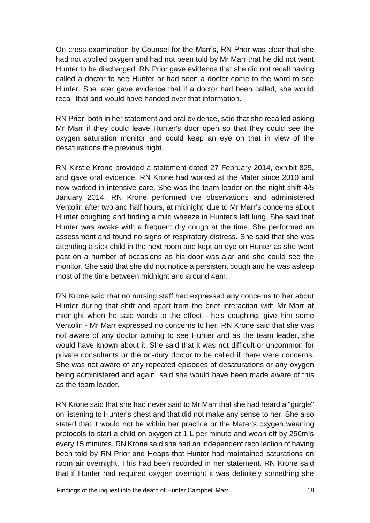On cross-examination by Counsel for the Marr's, RN Prior was clear that she had not applied oxygen and had not been told by Mr Marr that he did not want Hunter to be discharged. RN Prior gave evidence that she did not recall having called a doctor to see Hunter or had seen a doctor come to the ward to see Hunter. She later gave evidence that if a doctor had been called, she would recall that and would have handed over that information.

RN Prior, both in her statement and oral evidence, said that she recalled asking Mr Marr if they could leave Hunter's door open so that they could see the oxygen saturation monitor and could keep an eye on that in view of the desaturations the previous night.

RN Kirstie Krone provided a statement dated 27 February 2014, exhibit 825, and gave oral evidence. RN Krone had worked at the Mater since 2010 and now worked in intensive care. She was the team leader on the night shift 4/5 January 2014. RN Krone performed the observations and administered Ventolin after two and half hours, at midnight, due to Mr Marr's concerns about Hunter coughing and finding a mild wheeze in Hunter's left lung. She said that Hunter was awake with a frequent dry cough at the time. She performed an assessment and found no signs of respiratory distress. She said that she was attending a sick child in the next room and kept an eye on Hunter as she went past on a number of occasions as his door was ajar and she could see the monitor. She said that she did not notice a persistent cough and he was asleep most of the time between midnight and around 4am.

RN Krone said that no nursing staff had expressed any concerns to her about Hunter during that shift and apart from the brief interaction with Mr Marr at midnight when he said words to the effect - he's coughing, give him some Ventolin - Mr Marr expressed no concerns to her. RN Krone said that she was not aware of any doctor coming to see Hunter and as the team leader, she would have known about it. She said that it was not difficult or uncommon for private consultants or the on-duty doctor to be called if there were concerns. She was not aware of any repeated episodes of desaturations or any oxygen being administered and again, said she would have been made aware of this as the team leader.

RN Krone said that she had never said to Mr Marr that she had heard a "gurgle" on listening to Hunter's chest and that did not make any sense to her. She also stated that it would not be within her practice or the Mater's oxygen weaning protocols to start a child on oxygen at 1 L per minute and wean off by 250mIs every 15 minutes. RN Krone said she had an independent recollection of having been told by RN Prior and Heaps that Hunter had maintained saturations on room air overnight. This had been recorded in her statement. RN Krone said that if Hunter had required oxygen overnight it was definitely something she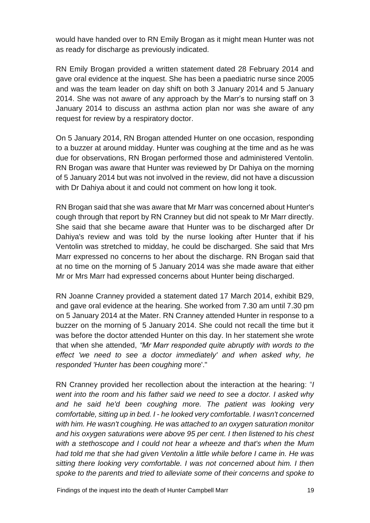would have handed over to RN Emily Brogan as it might mean Hunter was not as ready for discharge as previously indicated.

RN Emily Brogan provided a written statement dated 28 February 2014 and gave oral evidence at the inquest. She has been a paediatric nurse since 2005 and was the team leader on day shift on both 3 January 2014 and 5 January 2014. She was not aware of any approach by the Marr's to nursing staff on 3 January 2014 to discuss an asthma action plan nor was she aware of any request for review by a respiratory doctor.

On 5 January 2014, RN Brogan attended Hunter on one occasion, responding to a buzzer at around midday. Hunter was coughing at the time and as he was due for observations, RN Brogan performed those and administered Ventolin. RN Brogan was aware that Hunter was reviewed by Dr Dahiya on the morning of 5 January 2014 but was not involved in the review, did not have a discussion with Dr Dahiya about it and could not comment on how long it took.

RN Brogan said that she was aware that Mr Marr was concerned about Hunter's cough through that report by RN Cranney but did not speak to Mr Marr directly. She said that she became aware that Hunter was to be discharged after Dr Dahiya's review and was told by the nurse looking after Hunter that if his Ventolin was stretched to midday, he could be discharged. She said that Mrs Marr expressed no concerns to her about the discharge. RN Brogan said that at no time on the morning of 5 January 2014 was she made aware that either Mr or Mrs Marr had expressed concerns about Hunter being discharged.

RN Joanne Cranney provided a statement dated 17 March 2014, exhibit B29, and gave oral evidence at the hearing. She worked from 7.30 am until 7.30 pm on 5 January 2014 at the Mater. RN Cranney attended Hunter in response to a buzzer on the morning of 5 January 2014. She could not recall the time but it was before the doctor attended Hunter on this day. In her statement she wrote that when she attended, *"Mr Marr responded quite abruptly with words to the effect 'we need to see a doctor immediately' and when asked why, he responded 'Hunter has been coughing* more'."

RN Cranney provided her recollection about the interaction at the hearing: "*I went into the room and his father said we need to see a doctor. I asked why and he said he'd been coughing more. The patient was looking very comfortable, sitting up in bed. I* - *he looked very comfortable. I wasn't concerned with him. He wasn't coughing. He was attached to an oxygen saturation monitor and his oxygen saturations were above 95 per cent. I then listened to his chest with a stethoscope and I could not hear a wheeze and that's when the Mum had told me that she had given Ventolin a little while before I came in. He was sitting there looking very comfortable. I was not concerned about him. I then spoke to the parents and tried to alleviate some of their concerns and spoke to*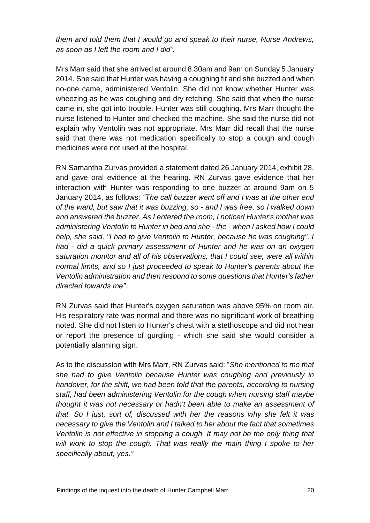*them and told them that I would go and speak to their nurse, Nurse Andrews, as soon as I left the room and I did".*

Mrs Marr said that she arrived at around 8.30am and 9am on Sunday 5 January 2014. She said that Hunter was having a coughing fit and she buzzed and when no-one came, administered Ventolin. She did not know whether Hunter was wheezing as he was coughing and dry retching. She said that when the nurse came in, she got into trouble. Hunter was still coughing. Mrs Marr thought the nurse listened to Hunter and checked the machine. She said the nurse did not explain why Ventolin was not appropriate. Mrs Marr did recall that the nurse said that there was not medication specifically to stop a cough and cough medicines were not used at the hospital.

RN Samantha Zurvas provided a statement dated 26 January 2014, exhibit 28, and gave oral evidence at the hearing. RN Zurvas gave evidence that her interaction with Hunter was responding to one buzzer at around 9am on 5 January 2014, as follows: *"The call buzzer went off and I was at the other end of the ward, but saw that it was buzzing, so* - *and I was free, so I walked down and answered the buzzer. As I entered the room, I noticed Hunter's mother was administering Ventolin to Hunter in bed and she* - *the* - *when I asked how I could help, she said, "I had to give Ventolin to Hunter, because he was coughing". I had* - *did a quick primary assessment of Hunter and he was on an oxygen saturation monitor and all of his observations, that I could see, were all within normal limits, and so I just proceeded to speak to Hunter's parents about the Ventolin administration and then respond to some questions that Hunter's father directed towards me".* 

RN Zurvas said that Hunter's oxygen saturation was above 95% on room air. His respiratory rate was normal and there was no significant work of breathing noted. She did not listen to Hunter's chest with a stethoscope and did not hear or report the presence of gurgling - which she said she would consider a potentially alarming sign.

As to the discussion with Mrs Marr, RN Zurvas said: "*She mentioned to me that she had to give Ventolin because Hunter was coughing and previously in handover, for the shift, we had been told that the parents, according to nursing staff, had been administering Ventolin for the cough when nursing staff maybe thought it was not necessary or hadn't been able to make an assessment of that. So I just, sort of, discussed with her the reasons why she felt it was necessary to give the Ventolin and I talked to her about the fact that sometimes Ventolin is not effective in stopping a cough. It may not be the only thing that will work to stop the cough. That was really the main thing I spoke to her specifically about, yes."*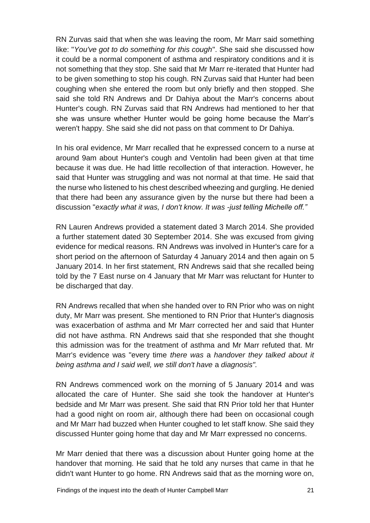RN Zurvas said that when she was leaving the room, Mr Marr said something like: "*You've got to do something for this cough*". She said she discussed how it could be a normal component of asthma and respiratory conditions and it is not something that they stop. She said that Mr Marr re-iterated that Hunter had to be given something to stop his cough. RN Zurvas said that Hunter had been coughing when she entered the room but only briefly and then stopped. She said she told RN Andrews and Dr Dahiya about the Marr's concerns about Hunter's cough. RN Zurvas said that RN Andrews had mentioned to her that she was unsure whether Hunter would be going home because the Marr's weren't happy. She said she did not pass on that comment to Dr Dahiya.

In his oral evidence, Mr Marr recalled that he expressed concern to a nurse at around 9am about Hunter's cough and Ventolin had been given at that time because it was due. He had little recollection of that interaction. However, he said that Hunter was struggling and was not normal at that time. He said that the nurse who listened to his chest described wheezing and gurgling. He denied that there had been any assurance given by the nurse but there had been a discussion "*exactly what it was, I don't know. It was -just telling Michelle off."*

RN Lauren Andrews provided a statement dated 3 March 2014. She provided a further statement dated 30 September 2014. She was excused from giving evidence for medical reasons. RN Andrews was involved in Hunter's care for a short period on the afternoon of Saturday 4 January 2014 and then again on 5 January 2014. In her first statement, RN Andrews said that she recalled being told by the 7 East nurse on 4 January that Mr Marr was reluctant for Hunter to be discharged that day.

RN Andrews recalled that when she handed over to RN Prior who was on night duty, Mr Marr was present. She mentioned to RN Prior that Hunter's diagnosis was exacerbation of asthma and Mr Marr corrected her and said that Hunter did not have asthma. RN Andrews said that she responded that she thought this admission was for the treatment of asthma and Mr Marr refuted that. Mr Marr's evidence was "every time *there was* a *handover they talked about it being asthma and I said well, we still don't have* a *diagnosis".*

RN Andrews commenced work on the morning of 5 January 2014 and was allocated the care of Hunter. She said she took the handover at Hunter's bedside and Mr Marr was present. She said that RN Prior told her that Hunter had a good night on room air, although there had been on occasional cough and Mr Marr had buzzed when Hunter coughed to let staff know. She said they discussed Hunter going home that day and Mr Marr expressed no concerns.

Mr Marr denied that there was a discussion about Hunter going home at the handover that morning. He said that he told any nurses that came in that he didn't want Hunter to go home. RN Andrews said that as the morning wore on,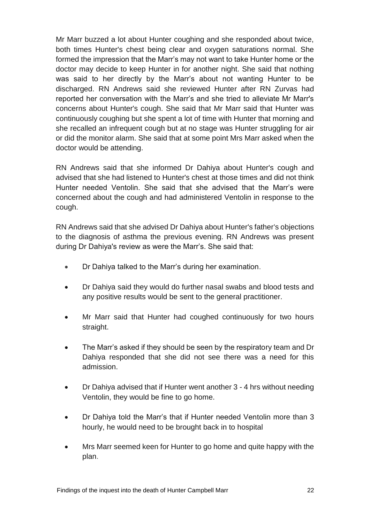Mr Marr buzzed a lot about Hunter coughing and she responded about twice, both times Hunter's chest being clear and oxygen saturations normal. She formed the impression that the Marr's may not want to take Hunter home or the doctor may decide to keep Hunter in for another night. She said that nothing was said to her directly by the Marr's about not wanting Hunter to be discharged. RN Andrews said she reviewed Hunter after RN Zurvas had reported her conversation with the Marr's and she tried to alleviate Mr Marr's concerns about Hunter's cough. She said that Mr Marr said that Hunter was continuously coughing but she spent a lot of time with Hunter that morning and she recalled an infrequent cough but at no stage was Hunter struggling for air or did the monitor alarm. She said that at some point Mrs Marr asked when the doctor would be attending.

RN Andrews said that she informed Dr Dahiya about Hunter's cough and advised that she had listened to Hunter's chest at those times and did not think Hunter needed Ventolin. She said that she advised that the Marr's were concerned about the cough and had administered Ventolin in response to the cough.

RN Andrews said that she advised Dr Dahiya about Hunter's father's objections to the diagnosis of asthma the previous evening. RN Andrews was present during Dr Dahiya's review as were the Marr's. She said that:

- Dr Dahiya talked to the Marr's during her examination.
- Dr Dahiya said they would do further nasal swabs and blood tests and any positive results would be sent to the general practitioner.
- Mr Marr said that Hunter had coughed continuously for two hours straight.
- The Marr's asked if they should be seen by the respiratory team and Dr Dahiya responded that she did not see there was a need for this admission.
- Dr Dahiya advised that if Hunter went another 3 4 hrs without needing Ventolin, they would be fine to go home.
- Dr Dahiya told the Marr's that if Hunter needed Ventolin more than 3 hourly, he would need to be brought back in to hospital
- Mrs Marr seemed keen for Hunter to go home and quite happy with the plan.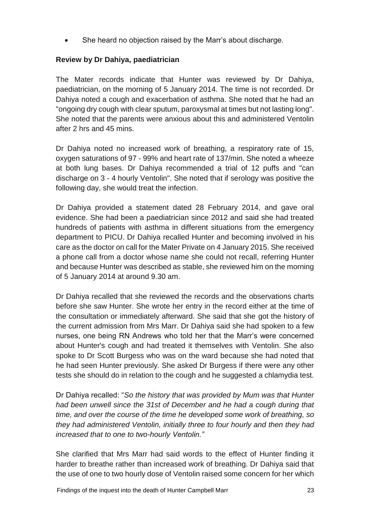She heard no objection raised by the Marr's about discharge.

## **Review by Dr Dahiya, paediatrician**

The Mater records indicate that Hunter was reviewed by Dr Dahiya, paediatrician, on the morning of 5 January 2014. The time is not recorded. Dr Dahiya noted a cough and exacerbation of asthma. She noted that he had an "ongoing dry cough with clear sputum, paroxysmal at times but not lasting long". She noted that the parents were anxious about this and administered Ventolin after 2 hrs and 45 mins.

Dr Dahiya noted no increased work of breathing, a respiratory rate of 15, oxygen saturations of 97 - 99% and heart rate of 137/min. She noted a wheeze at both lung bases. Dr Dahiya recommended a trial of 12 puffs and "can discharge on 3 - 4 hourly Ventolin". She noted that if serology was positive the following day, she would treat the infection.

Dr Dahiya provided a statement dated 28 February 2014, and gave oral evidence. She had been a paediatrician since 2012 and said she had treated hundreds of patients with asthma in different situations from the emergency department to PICU. Dr Dahiya recalled Hunter and becoming involved in his care as the doctor on call for the Mater Private on 4 January 2015. She received a phone call from a doctor whose name she could not recall, referring Hunter and because Hunter was described as stable, she reviewed him on the morning of 5 January 2014 at around 9.30 am.

Dr Dahiya recalled that she reviewed the records and the observations charts before she saw Hunter. She wrote her entry in the record either at the time of the consultation or immediately afterward. She said that she got the history of the current admission from Mrs Marr. Dr Dahiya said she had spoken to a few nurses, one being RN Andrews who told her that the Marr's were concerned about Hunter's cough and had treated it themselves with Ventolin. She also spoke to Dr Scott Burgess who was on the ward because she had noted that he had seen Hunter previously. She asked Dr Burgess if there were any other tests she should do in relation to the cough and he suggested a chlamydia test.

Dr Dahiya recalled: "*So the history that was provided by Mum was that Hunter had been unwell since the 31st of December and he had a cough during that time, and over the course of the time he developed some work of breathing, so they had administered Ventolin, initially three to four hourly and then they had increased that to one to two-hourly Ventolin."*

She clarified that Mrs Marr had said words to the effect of Hunter finding it harder to breathe rather than increased work of breathing. Dr Dahiya said that the use of one to two hourly dose of Ventolin raised some concern for her which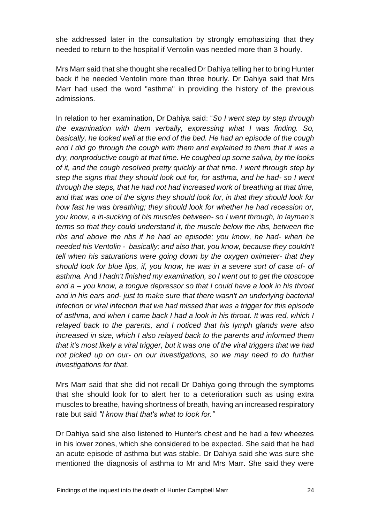she addressed later in the consultation by strongly emphasizing that they needed to return to the hospital if Ventolin was needed more than 3 hourly.

Mrs Marr said that she thought she recalled Dr Dahiya telling her to bring Hunter back if he needed Ventolin more than three hourly. Dr Dahiya said that Mrs Marr had used the word "asthma" in providing the history of the previous admissions.

In relation to her examination, Dr Dahiya said: "*So I went step by step through the examination with them verbally, expressing what I was finding. So, basically, he looked well at the end of the bed. He had an episode of the cough and I did go through the cough with them and explained to them that it was a dry, nonproductive cough at that time. He coughed up some saliva, by the looks of it, and the cough resolved pretty quickly at that time. I went through step by step the signs that they should look out for, for asthma, and he had- so I went through the steps, that he had not had increased work of breathing at that time, and that was one of the signs they should look for, in that they should look for how fast he was breathing; they should look for whether he had recession or, you know, a in-sucking of his muscles between- so I went through, in layman's terms so that they could understand it, the muscle below the ribs, between the ribs and above the ribs if he had an episode; you know, he had- when he needed his Ventolin - basically; and also that, you know, because they couldn't tell when his saturations were going down by the oxygen oximeter- that they should look for blue lips, if, you know, he was in a severe sort of case of- of asthma.* And *I hadn't finished my examination, so I went out to get the otoscope and a* – *you know, a tongue depressor so that I could have a look in his throat and in his ears and- just to make sure that there wasn't an underlying bacterial infection or viral infection that we had missed that was a trigger for this episode of asthma, and when I came back I had a look in his throat. It was red, which I relayed back to the parents, and I noticed that his lymph glands were also increased in size, which I also relayed back to the parents and informed them that it's most likely a viral trigger, but it was one of the viral triggers that we had not picked up on our- on our investigations, so we may need to do further investigations for that.*

Mrs Marr said that she did not recall Dr Dahiya going through the symptoms that she should look for to alert her to a deterioration such as using extra muscles to breathe, having shortness of breath, having an increased respiratory rate but said *"I know that that's what to look for."*

Dr Dahiya said she also listened to Hunter's chest and he had a few wheezes in his lower zones, which she considered to be expected. She said that he had an acute episode of asthma but was stable. Dr Dahiya said she was sure she mentioned the diagnosis of asthma to Mr and Mrs Marr. She said they were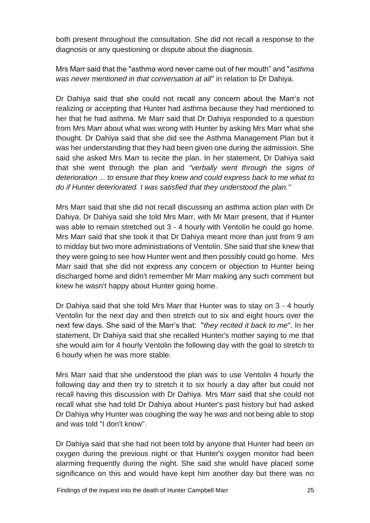both present throughout the consultation. She did not recall a response to the diagnosis or any questioning or dispute about the diagnosis.

Mrs Marr said that the "asthma word never came out of her mouth" and "*asthma was never mentioned in that conversation at all"* in relation to Dr Dahiya.

Dr Dahiya said that she could not recall any concern about the Marr's not realizing or accepting that Hunter had asthma because they had mentioned to her that he had asthma. Mr Marr said that Dr Dahiya responded to a question from Mrs Marr about what was wrong with Hunter by asking Mrs Marr what she thought. Dr Dahiya said that she did see the Asthma Management Plan but it was her understanding that they had been given one during the admission. She said she asked Mrs Marr to recite the plan. In her statement, Dr Dahiya said that she went through the plan and *"verbally went through the signs of deterioration ... to ensure that they knew and could express back to me what to do if Hunter deteriorated. I was satisfied that they understood the plan."*

Mrs Marr said that she did not recall discussing an asthma action plan with Dr Dahiya. Dr Dahiya said she told Mrs Marr, with Mr Marr present, that if Hunter was able to remain stretched out 3 - 4 hourly with Ventolin he could go home. Mrs Marr said that she took it that Dr Dahiya meant more than just from 9 am to midday but two more administrations of Ventolin. She said that she knew that they were going to see how Hunter went and then possibly could go home. Mrs Marr said that she did not express any concern or objection to Hunter being discharged home and didn't remember Mr Marr making any such comment but knew he wasn't happy about Hunter going home.

Dr Dahiya said that she told Mrs Marr that Hunter was to stay on 3 - 4 hourly Ventolin for the next day and then stretch out to six and eight hours over the next few days. She said of the Marr's that: "*they recited it back to me*". In her statement, Dr Dahiya said that she recalled Hunter's mother saying to me that she would aim for 4 hourly Ventolin the following day with the goal to stretch to 6 hourly when he was more stable.

Mrs Marr said that she understood the plan was to use Ventolin 4 hourly the following day and then try to stretch it to six hourly a day after but could not recall having this discussion with Dr Dahiya. Mrs Marr said that she could not recall what she had told Dr Dahiya about Hunter's past history but had asked Dr Dahiya why Hunter was coughing the way he was and not being able to stop and was told "I don't know".

Dr Dahiya said that she had not been told by anyone that Hunter had been on oxygen during the previous night or that Hunter's oxygen monitor had been alarming frequently during the night. She said she would have placed some significance on this and would have kept him another day but there was no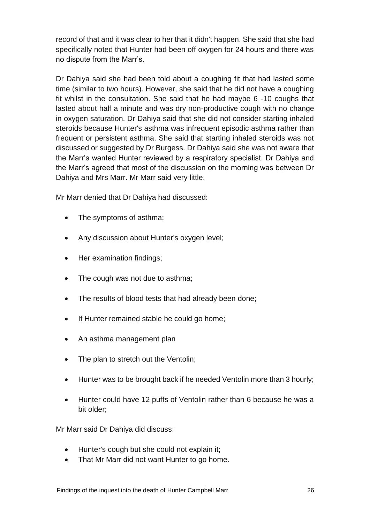record of that and it was clear to her that it didn't happen. She said that she had specifically noted that Hunter had been off oxygen for 24 hours and there was no dispute from the Marr's.

Dr Dahiya said she had been told about a coughing fit that had lasted some time (similar to two hours). However, she said that he did not have a coughing fit whilst in the consultation. She said that he had maybe 6 -10 coughs that lasted about half a minute and was dry non-productive cough with no change in oxygen saturation. Dr Dahiya said that she did not consider starting inhaled steroids because Hunter's asthma was infrequent episodic asthma rather than frequent or persistent asthma. She said that starting inhaled steroids was not discussed or suggested by Dr Burgess. Dr Dahiya said she was not aware that the Marr's wanted Hunter reviewed by a respiratory specialist. Dr Dahiya and the Marr's agreed that most of the discussion on the morning was between Dr Dahiya and Mrs Marr. Mr Marr said very little.

Mr Marr denied that Dr Dahiya had discussed:

- The symptoms of asthma;
- Any discussion about Hunter's oxygen level;
- Her examination findings:
- The cough was not due to asthma;
- The results of blood tests that had already been done;
- If Hunter remained stable he could go home;
- An asthma management plan
- The plan to stretch out the Ventolin;
- Hunter was to be brought back if he needed Ventolin more than 3 hourly;
- Hunter could have 12 puffs of Ventolin rather than 6 because he was a bit older;

Mr Marr said Dr Dahiya did discuss:

- Hunter's cough but she could not explain it;
- That Mr Marr did not want Hunter to go home.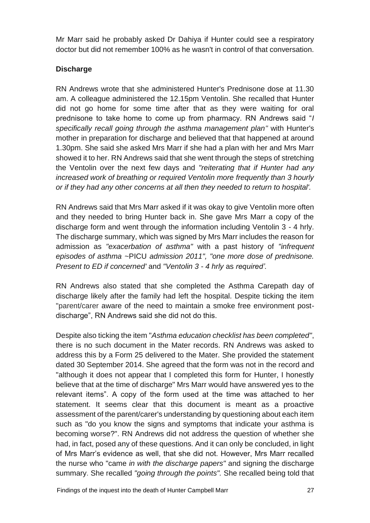Mr Marr said he probably asked Dr Dahiya if Hunter could see a respiratory doctor but did not remember 100% as he wasn't in control of that conversation.

## **Discharge**

RN Andrews wrote that she administered Hunter's Prednisone dose at 11.30 am. A colleague administered the 12.15pm Ventolin. She recalled that Hunter did not go home for some time after that as they were waiting for oral prednisone to take home to come up from pharmacy. RN Andrews said "*I specifically recall going through the asthma management plan"* with Hunter's mother in preparation for discharge and believed that that happened at around 1.30pm. She said she asked Mrs Marr if she had a plan with her and Mrs Marr showed it to her. RN Andrews said that she went through the steps of stretching the Ventolin over the next few days and *"reiterating that if Hunter had any increased work of breathing or required Ventolin more frequently than 3 hourly or if they had any other concerns at all then they needed to return to hospital'.*

RN Andrews said that Mrs Marr asked if it was okay to give Ventolin more often and they needed to bring Hunter back in. She gave Mrs Marr a copy of the discharge form and went through the information including Ventolin 3 - 4 hrly. The discharge summary, which was signed by Mrs Marr includes the reason for admission as *"exacerbation of asthma"* with a past history of *"infrequent episodes of asthma* ~PICU *admission 2011", "one more dose of prednisone. Present to ED if concerned'* and *"Ventolin 3* - *4 hrly* as *required'.*

RN Andrews also stated that she completed the Asthma Carepath day of discharge likely after the family had left the hospital. Despite ticking the item "parent/carer aware of the need to maintain a smoke free environment postdischarge", RN Andrews said she did not do this.

Despite also ticking the item "*Asthma education checklist has been completed"*, there is no such document in the Mater records. RN Andrews was asked to address this by a Form 25 delivered to the Mater. She provided the statement dated 30 September 2014. She agreed that the form was not in the record and "although it does not appear that I completed this form for Hunter, I honestly believe that at the time of discharge" Mrs Marr would have answered yes to the relevant items". A copy of the form used at the time was attached to her statement. It seems clear that this document is meant as a proactive assessment of the parent/carer's understanding by questioning about each item such as "do you know the signs and symptoms that indicate your asthma is becoming worse?". RN Andrews did not address the question of whether she had, in fact, posed any of these questions. And it can only be concluded, in light of Mrs Marr's evidence as well, that she did not. However, Mrs Marr recalled the nurse who "came *in with the discharge papers"* and signing the discharge summary. She recalled *"going through the points".* She recalled being told that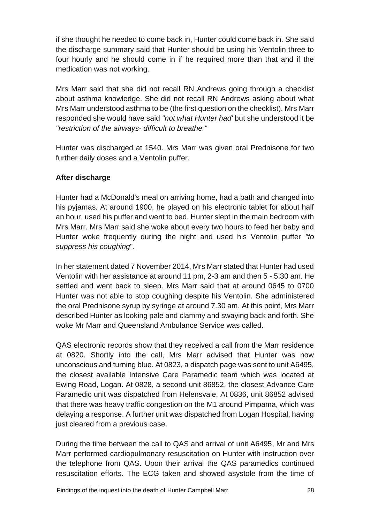if she thought he needed to come back in, Hunter could come back in. She said the discharge summary said that Hunter should be using his Ventolin three to four hourly and he should come in if he required more than that and if the medication was not working.

Mrs Marr said that she did not recall RN Andrews going through a checklist about asthma knowledge. She did not recall RN Andrews asking about what Mrs Marr understood asthma to be (the first question on the checklist). Mrs Marr responded she would have said *"not what Hunter had'* but she understood it be *"restriction of the airways- difficult to breathe."*

Hunter was discharged at 1540. Mrs Marr was given oral Prednisone for two further daily doses and a Ventolin puffer.

## **After discharge**

Hunter had a McDonald's meal on arriving home, had a bath and changed into his pyjamas. At around 1900, he played on his electronic tablet for about half an hour, used his puffer and went to bed. Hunter slept in the main bedroom with Mrs Marr. Mrs Marr said she woke about every two hours to feed her baby and Hunter woke frequently during the night and used his Ventolin puffer *"to suppress his coughing*".

In her statement dated 7 November 2014, Mrs Marr stated that Hunter had used Ventolin with her assistance at around 11 pm, 2-3 am and then 5 - 5.30 am. He settled and went back to sleep. Mrs Marr said that at around 0645 to 0700 Hunter was not able to stop coughing despite his Ventolin. She administered the oral Prednisone syrup by syringe at around 7.30 am. At this point, Mrs Marr described Hunter as looking pale and clammy and swaying back and forth. She woke Mr Marr and Queensland Ambulance Service was called.

QAS electronic records show that they received a call from the Marr residence at 0820. Shortly into the call, Mrs Marr advised that Hunter was now unconscious and turning blue. At 0823, a dispatch page was sent to unit A6495, the closest available Intensive Care Paramedic team which was located at Ewing Road, Logan. At 0828, a second unit 86852, the closest Advance Care Paramedic unit was dispatched from Helensvale. At 0836, unit 86852 advised that there was heavy traffic congestion on the M1 around Pimpama, which was delaying a response. A further unit was dispatched from Logan Hospital, having just cleared from a previous case.

During the time between the call to QAS and arrival of unit A6495, Mr and Mrs Marr performed cardiopulmonary resuscitation on Hunter with instruction over the telephone from QAS. Upon their arrival the QAS paramedics continued resuscitation efforts. The ECG taken and showed asystole from the time of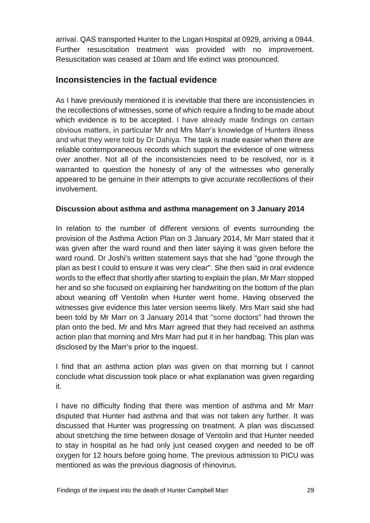arrival. QAS transported Hunter to the Logan Hospital at 0929, arriving a 0944. Further resuscitation treatment was provided with no improvement. Resuscitation was ceased at 10am and life extinct was pronounced.

## **Inconsistencies in the factual evidence**

As I have previously mentioned it is inevitable that there are inconsistencies in the recollections of witnesses, some of which require a finding to be made about which evidence is to be accepted. I have already made findings on certain obvious matters, in particular Mr and Mrs Marr's knowledge of Hunters illness and what they were told by Dr Dahiya. The task is made easier when there are reliable contemporaneous records which support the evidence of one witness over another. Not all of the inconsistencies need to be resolved, nor is it warranted to question the honesty of any of the witnesses who generally appeared to be genuine in their attempts to give accurate recollections of their involvement.

#### **Discussion about asthma and asthma management on 3 January 2014**

In relation to the number of different versions of events surrounding the provision of the Asthma Action Plan on 3 January 2014, Mr Marr stated that it was given after the ward round and then later saying it was given before the ward round. Dr Joshi's written statement says that she had "gone through the plan as best I could to ensure it was very clear". She then said in oral evidence words to the effect that shortly after starting to explain the plan, Mr Marr stopped her and so she focused on explaining her handwriting on the bottom of the plan about weaning off Ventolin when Hunter went home. Having observed the witnesses give evidence this later version seems likely. Mrs Marr said she had been told by Mr Marr on 3 January 2014 that "some doctors" had thrown the plan onto the bed. Mr and Mrs Marr agreed that they had received an asthma action plan that morning and Mrs Marr had put it in her handbag. This plan was disclosed by the Marr's prior to the inquest.

I find that an asthma action plan was given on that morning but I cannot conclude what discussion took place or what explanation was given regarding it.

I have no difficulty finding that there was mention of asthma and Mr Marr disputed that Hunter had asthma and that was not taken any further. It was discussed that Hunter was progressing on treatment. A plan was discussed about stretching the time between dosage of Ventolin and that Hunter needed to stay in hospital as he had only just ceased oxygen and needed to be off oxygen for 12 hours before going home. The previous admission to PICU was mentioned as was the previous diagnosis of rhinovirus.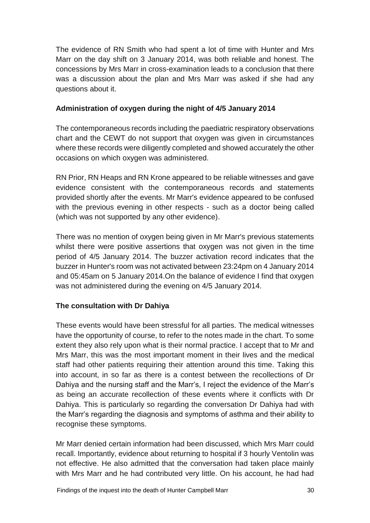The evidence of RN Smith who had spent a lot of time with Hunter and Mrs Marr on the day shift on 3 January 2014, was both reliable and honest. The concessions by Mrs Marr in cross-examination leads to a conclusion that there was a discussion about the plan and Mrs Marr was asked if she had any questions about it.

#### **Administration of oxygen during the night of 4/5 January 2014**

The contemporaneous records including the paediatric respiratory observations chart and the CEWT do not support that oxygen was given in circumstances where these records were diligently completed and showed accurately the other occasions on which oxygen was administered.

RN Prior, RN Heaps and RN Krone appeared to be reliable witnesses and gave evidence consistent with the contemporaneous records and statements provided shortly after the events. Mr Marr's evidence appeared to be confused with the previous evening in other respects - such as a doctor being called (which was not supported by any other evidence).

There was no mention of oxygen being given in Mr Marr's previous statements whilst there were positive assertions that oxygen was not given in the time period of 4/5 January 2014. The buzzer activation record indicates that the buzzer in Hunter's room was not activated between 23:24pm on 4 January 2014 and 05:45am on 5 January 2014.On the balance of evidence I find that oxygen was not administered during the evening on 4/5 January 2014.

## **The consultation with Dr Dahiya**

These events would have been stressful for all parties. The medical witnesses have the opportunity of course, to refer to the notes made in the chart. To some extent they also rely upon what is their normal practice. I accept that to Mr and Mrs Marr, this was the most important moment in their lives and the medical staff had other patients requiring their attention around this time. Taking this into account, in so far as there is a contest between the recollections of Dr Dahiya and the nursing staff and the Marr's, I reject the evidence of the Marr's as being an accurate recollection of these events where it conflicts with Dr Dahiya. This is particularly so regarding the conversation Dr Dahiya had with the Marr's regarding the diagnosis and symptoms of asthma and their ability to recognise these symptoms.

Mr Marr denied certain information had been discussed, which Mrs Marr could recall. Importantly, evidence about returning to hospital if 3 hourly Ventolin was not effective. He also admitted that the conversation had taken place mainly with Mrs Marr and he had contributed very little. On his account, he had had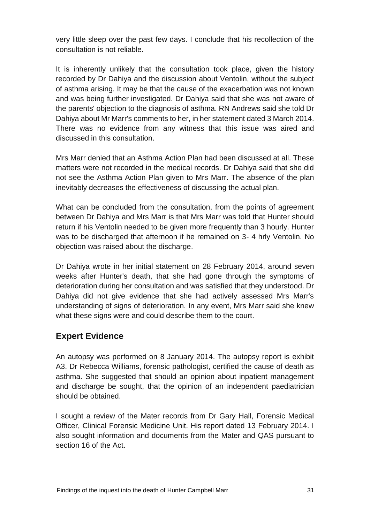very little sleep over the past few days. I conclude that his recollection of the consultation is not reliable.

It is inherently unlikely that the consultation took place, given the history recorded by Dr Dahiya and the discussion about Ventolin, without the subject of asthma arising. It may be that the cause of the exacerbation was not known and was being further investigated. Dr Dahiya said that she was not aware of the parents' objection to the diagnosis of asthma. RN Andrews said she told Dr Dahiya about Mr Marr's comments to her, in her statement dated 3 March 2014. There was no evidence from any witness that this issue was aired and discussed in this consultation.

Mrs Marr denied that an Asthma Action Plan had been discussed at all. These matters were not recorded in the medical records. Dr Dahiya said that she did not see the Asthma Action Plan given to Mrs Marr. The absence of the plan inevitably decreases the effectiveness of discussing the actual plan.

What can be concluded from the consultation, from the points of agreement between Dr Dahiya and Mrs Marr is that Mrs Marr was told that Hunter should return if his Ventolin needed to be given more frequently than 3 hourly. Hunter was to be discharged that afternoon if he remained on 3- 4 hrly Ventolin. No objection was raised about the discharge.

Dr Dahiya wrote in her initial statement on 28 February 2014, around seven weeks after Hunter's death, that she had gone through the symptoms of deterioration during her consultation and was satisfied that they understood. Dr Dahiya did not give evidence that she had actively assessed Mrs Marr's understanding of signs of deterioration. In any event, Mrs Marr said she knew what these signs were and could describe them to the court.

## **Expert Evidence**

An autopsy was performed on 8 January 2014. The autopsy report is exhibit A3. Dr Rebecca Williams, forensic pathologist, certified the cause of death as asthma. She suggested that should an opinion about inpatient management and discharge be sought, that the opinion of an independent paediatrician should be obtained.

I sought a review of the Mater records from Dr Gary Hall, Forensic Medical Officer, Clinical Forensic Medicine Unit. His report dated 13 February 2014. I also sought information and documents from the Mater and QAS pursuant to section 16 of the Act.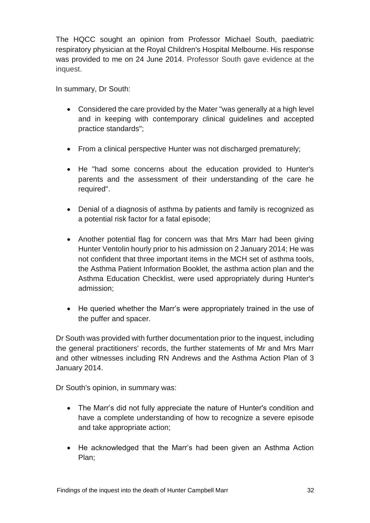The HQCC sought an opinion from Professor Michael South, paediatric respiratory physician at the Royal Children's Hospital Melbourne. His response was provided to me on 24 June 2014. Professor South gave evidence at the inquest.

In summary, Dr South:

- Considered the care provided by the Mater "was generally at a high level and in keeping with contemporary clinical guidelines and accepted practice standards";
- From a clinical perspective Hunter was not discharged prematurely;
- He "had some concerns about the education provided to Hunter's parents and the assessment of their understanding of the care he required".
- Denial of a diagnosis of asthma by patients and family is recognized as a potential risk factor for a fatal episode;
- Another potential flag for concern was that Mrs Marr had been giving Hunter Ventolin hourly prior to his admission on 2 January 2014; He was not confident that three important items in the MCH set of asthma tools, the Asthma Patient Information Booklet, the asthma action plan and the Asthma Education Checklist, were used appropriately during Hunter's admission;
- He queried whether the Marr's were appropriately trained in the use of the puffer and spacer.

Dr South was provided with further documentation prior to the inquest, including the general practitioners' records, the further statements of Mr and Mrs Marr and other witnesses including RN Andrews and the Asthma Action Plan of 3 January 2014.

Dr South's opinion, in summary was:

- The Marr's did not fully appreciate the nature of Hunter's condition and have a complete understanding of how to recognize a severe episode and take appropriate action;
- He acknowledged that the Marr's had been given an Asthma Action Plan;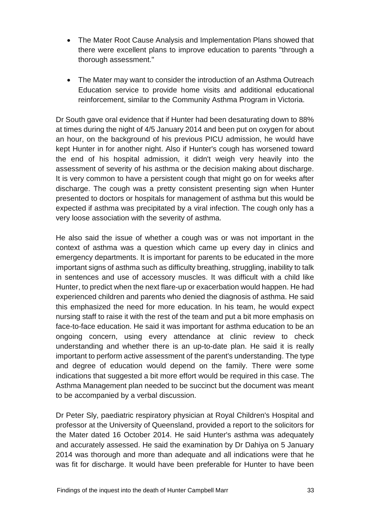- The Mater Root Cause Analysis and Implementation Plans showed that there were excellent plans to improve education to parents "through a thorough assessment."
- The Mater may want to consider the introduction of an Asthma Outreach Education service to provide home visits and additional educational reinforcement, similar to the Community Asthma Program in Victoria.

Dr South gave oral evidence that if Hunter had been desaturating down to 88% at times during the night of 4/5 January 2014 and been put on oxygen for about an hour, on the background of his previous PICU admission, he would have kept Hunter in for another night. Also if Hunter's cough has worsened toward the end of his hospital admission, it didn't weigh very heavily into the assessment of severity of his asthma or the decision making about discharge. It is very common to have a persistent cough that might go on for weeks after discharge. The cough was a pretty consistent presenting sign when Hunter presented to doctors or hospitals for management of asthma but this would be expected if asthma was precipitated by a viral infection. The cough only has a very loose association with the severity of asthma.

He also said the issue of whether a cough was or was not important in the context of asthma was a question which came up every day in clinics and emergency departments. It is important for parents to be educated in the more important signs of asthma such as difficulty breathing, struggling, inability to talk in sentences and use of accessory muscles. It was difficult with a child like Hunter, to predict when the next flare-up or exacerbation would happen. He had experienced children and parents who denied the diagnosis of asthma. He said this emphasized the need for more education. In his team, he would expect nursing staff to raise it with the rest of the team and put a bit more emphasis on face-to-face education. He said it was important for asthma education to be an ongoing concern, using every attendance at clinic review to check understanding and whether there is an up-to-date plan. He said it is really important to perform active assessment of the parent's understanding. The type and degree of education would depend on the family. There were some indications that suggested a bit more effort would be required in this case. The Asthma Management plan needed to be succinct but the document was meant to be accompanied by a verbal discussion.

Dr Peter Sly, paediatric respiratory physician at Royal Children's Hospital and professor at the University of Queensland, provided a report to the solicitors for the Mater dated 16 October 2014. He said Hunter's asthma was adequately and accurately assessed. He said the examination by Dr Dahiya on 5 January 2014 was thorough and more than adequate and all indications were that he was fit for discharge. It would have been preferable for Hunter to have been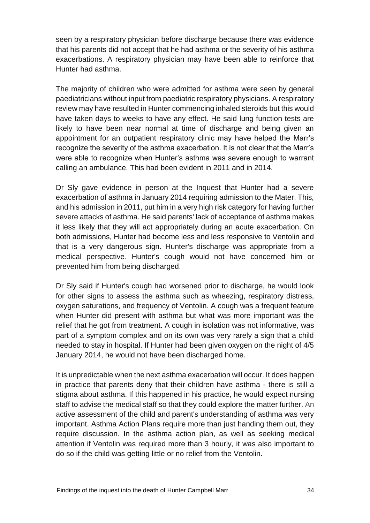seen by a respiratory physician before discharge because there was evidence that his parents did not accept that he had asthma or the severity of his asthma exacerbations. A respiratory physician may have been able to reinforce that Hunter had asthma.

The majority of children who were admitted for asthma were seen by general paediatricians without input from paediatric respiratory physicians. A respiratory review may have resulted in Hunter commencing inhaled steroids but this would have taken days to weeks to have any effect. He said lung function tests are likely to have been near normal at time of discharge and being given an appointment for an outpatient respiratory clinic may have helped the Marr's recognize the severity of the asthma exacerbation. It is not clear that the Marr's were able to recognize when Hunter's asthma was severe enough to warrant calling an ambulance. This had been evident in 2011 and in 2014.

Dr Sly gave evidence in person at the Inquest that Hunter had a severe exacerbation of asthma in January 2014 requiring admission to the Mater. This, and his admission in 2011, put him in a very high risk category for having further severe attacks of asthma. He said parents' lack of acceptance of asthma makes it less likely that they will act appropriately during an acute exacerbation. On both admissions, Hunter had become less and less responsive to Ventolin and that is a very dangerous sign. Hunter's discharge was appropriate from a medical perspective. Hunter's cough would not have concerned him or prevented him from being discharged.

Dr Sly said if Hunter's cough had worsened prior to discharge, he would look for other signs to assess the asthma such as wheezing, respiratory distress, oxygen saturations, and frequency of Ventolin. A cough was a frequent feature when Hunter did present with asthma but what was more important was the relief that he got from treatment. A cough in isolation was not informative, was part of a symptom complex and on its own was very rarely a sign that a child needed to stay in hospital. If Hunter had been given oxygen on the night of 4/5 January 2014, he would not have been discharged home.

It is unpredictable when the next asthma exacerbation will occur. It does happen in practice that parents deny that their children have asthma - there is still a stigma about asthma. If this happened in his practice, he would expect nursing staff to advise the medical staff so that they could explore the matter further. An active assessment of the child and parent's understanding of asthma was very important. Asthma Action Plans require more than just handing them out, they require discussion. In the asthma action plan, as well as seeking medical attention if Ventolin was required more than 3 hourly, it was also important to do so if the child was getting little or no relief from the Ventolin.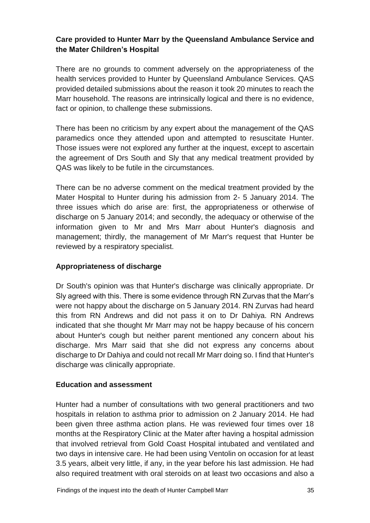## **Care provided to Hunter Marr by the Queensland Ambulance Service and the Mater Children's Hospital**

There are no grounds to comment adversely on the appropriateness of the health services provided to Hunter by Queensland Ambulance Services. QAS provided detailed submissions about the reason it took 20 minutes to reach the Marr household. The reasons are intrinsically logical and there is no evidence, fact or opinion, to challenge these submissions.

There has been no criticism by any expert about the management of the QAS paramedics once they attended upon and attempted to resuscitate Hunter. Those issues were not explored any further at the inquest, except to ascertain the agreement of Drs South and Sly that any medical treatment provided by QAS was likely to be futile in the circumstances.

There can be no adverse comment on the medical treatment provided by the Mater Hospital to Hunter during his admission from 2- 5 January 2014. The three issues which do arise are: first, the appropriateness or otherwise of discharge on 5 January 2014; and secondly, the adequacy or otherwise of the information given to Mr and Mrs Marr about Hunter's diagnosis and management; thirdly, the management of Mr Marr's request that Hunter be reviewed by a respiratory specialist.

#### **Appropriateness of discharge**

Dr South's opinion was that Hunter's discharge was clinically appropriate. Dr Sly agreed with this. There is some evidence through RN Zurvas that the Marr's were not happy about the discharge on 5 January 2014. RN Zurvas had heard this from RN Andrews and did not pass it on to Dr Dahiya. RN Andrews indicated that she thought Mr Marr may not be happy because of his concern about Hunter's cough but neither parent mentioned any concern about his discharge. Mrs Marr said that she did not express any concerns about discharge to Dr Dahiya and could not recall Mr Marr doing so. I find that Hunter's discharge was clinically appropriate.

#### **Education and assessment**

Hunter had a number of consultations with two general practitioners and two hospitals in relation to asthma prior to admission on 2 January 2014. He had been given three asthma action plans. He was reviewed four times over 18 months at the Respiratory Clinic at the Mater after having a hospital admission that involved retrieval from Gold Coast Hospital intubated and ventilated and two days in intensive care. He had been using Ventolin on occasion for at least 3.5 years, albeit very little, if any, in the year before his last admission. He had also required treatment with oral steroids on at least two occasions and also a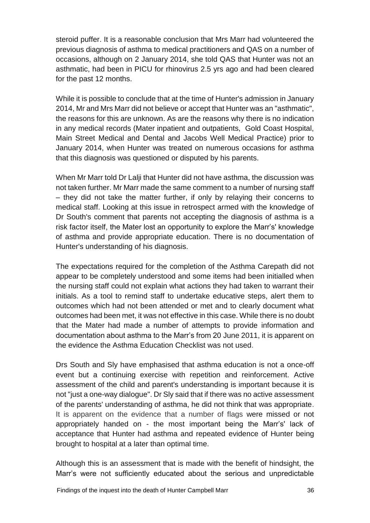steroid puffer. It is a reasonable conclusion that Mrs Marr had volunteered the previous diagnosis of asthma to medical practitioners and QAS on a number of occasions, although on 2 January 2014, she told QAS that Hunter was not an asthmatic, had been in PICU for rhinovirus 2.5 yrs ago and had been cleared for the past 12 months.

While it is possible to conclude that at the time of Hunter's admission in January 2014, Mr and Mrs Marr did not believe or accept that Hunter was an "asthmatic", the reasons for this are unknown. As are the reasons why there is no indication in any medical records (Mater inpatient and outpatients, Gold Coast Hospital, Main Street Medical and Dental and Jacobs Well Medical Practice) prior to January 2014, when Hunter was treated on numerous occasions for asthma that this diagnosis was questioned or disputed by his parents.

When Mr Marr told Dr Lalji that Hunter did not have asthma, the discussion was not taken further. Mr Marr made the same comment to a number of nursing staff – they did not take the matter further, if only by relaying their concerns to medical staff. Looking at this issue in retrospect armed with the knowledge of Dr South's comment that parents not accepting the diagnosis of asthma is a risk factor itself, the Mater lost an opportunity to explore the Marr's' knowledge of asthma and provide appropriate education. There is no documentation of Hunter's understanding of his diagnosis.

The expectations required for the completion of the Asthma Carepath did not appear to be completely understood and some items had been initialled when the nursing staff could not explain what actions they had taken to warrant their initials. As a tool to remind staff to undertake educative steps, alert them to outcomes which had not been attended or met and to clearly document what outcomes had been met, it was not effective in this case. While there is no doubt that the Mater had made a number of attempts to provide information and documentation about asthma to the Marr's from 20 June 2011, it is apparent on the evidence the Asthma Education Checklist was not used.

Drs South and Sly have emphasised that asthma education is not a once-off event but a continuing exercise with repetition and reinforcement. Active assessment of the child and parent's understanding is important because it is not "just a one-way dialogue". Dr Sly said that if there was no active assessment of the parents' understanding of asthma, he did not think that was appropriate. It is apparent on the evidence that a number of flags were missed or not appropriately handed on - the most important being the Marr's' lack of acceptance that Hunter had asthma and repeated evidence of Hunter being brought to hospital at a later than optimal time.

Although this is an assessment that is made with the benefit of hindsight, the Marr's were not sufficiently educated about the serious and unpredictable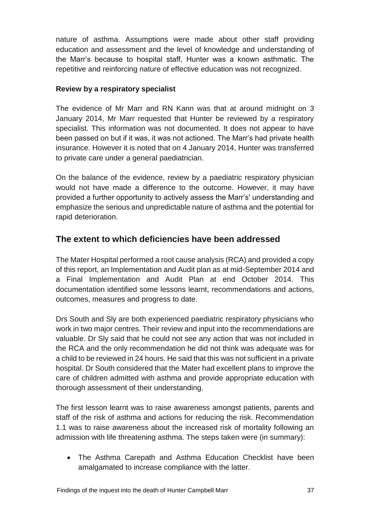nature of asthma. Assumptions were made about other staff providing education and assessment and the level of knowledge and understanding of the Marr's because to hospital staff, Hunter was a known asthmatic. The repetitive and reinforcing nature of effective education was not recognized.

#### **Review by a respiratory specialist**

The evidence of Mr Marr and RN Kann was that at around midnight on 3 January 2014, Mr Marr requested that Hunter be reviewed by a respiratory specialist. This information was not documented. It does not appear to have been passed on but if it was, it was not actioned. The Marr's had private health insurance. However it is noted that on 4 January 2014, Hunter was transferred to private care under a general paediatrician.

On the balance of the evidence, review by a paediatric respiratory physician would not have made a difference to the outcome. However, it may have provided a further opportunity to actively assess the Marr's' understanding and emphasize the serious and unpredictable nature of asthma and the potential for rapid deterioration.

# **The extent to which deficiencies have been addressed**

The Mater Hospital performed a root cause analysis (RCA) and provided a copy of this report, an Implementation and Audit plan as at mid-September 2014 and a Final Implementation and Audit Plan at end October 2014. This documentation identified some lessons learnt, recommendations and actions, outcomes, measures and progress to date.

Drs South and Sly are both experienced paediatric respiratory physicians who work in two major centres. Their review and input into the recommendations are valuable. Dr Sly said that he could not see any action that was not included in the RCA and the only recommendation he did not think was adequate was for a child to be reviewed in 24 hours. He said that this was not sufficient in a private hospital. Dr South considered that the Mater had excellent plans to improve the care of children admitted with asthma and provide appropriate education with thorough assessment of their understanding.

The first lesson learnt was to raise awareness amongst patients, parents and staff of the risk of asthma and actions for reducing the risk. Recommendation 1.1 was to raise awareness about the increased risk of mortality following an admission with life threatening asthma. The steps taken were (in summary):

• The Asthma Carepath and Asthma Education Checklist have been amalgamated to increase compliance with the latter.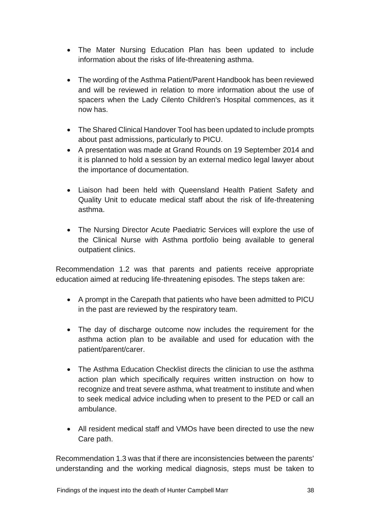- The Mater Nursing Education Plan has been updated to include information about the risks of life-threatening asthma.
- The wording of the Asthma Patient/Parent Handbook has been reviewed and will be reviewed in relation to more information about the use of spacers when the Lady Cilento Children's Hospital commences, as it now has.
- The Shared Clinical Handover Tool has been updated to include prompts about past admissions, particularly to PICU.
- A presentation was made at Grand Rounds on 19 September 2014 and it is planned to hold a session by an external medico legal lawyer about the importance of documentation.
- Liaison had been held with Queensland Health Patient Safety and Quality Unit to educate medical staff about the risk of life-threatening asthma.
- The Nursing Director Acute Paediatric Services will explore the use of the Clinical Nurse with Asthma portfolio being available to general outpatient clinics.

Recommendation 1.2 was that parents and patients receive appropriate education aimed at reducing life-threatening episodes. The steps taken are:

- A prompt in the Carepath that patients who have been admitted to PICU in the past are reviewed by the respiratory team.
- The day of discharge outcome now includes the requirement for the asthma action plan to be available and used for education with the patient/parent/carer.
- The Asthma Education Checklist directs the clinician to use the asthma action plan which specifically requires written instruction on how to recognize and treat severe asthma, what treatment to institute and when to seek medical advice including when to present to the PED or call an ambulance.
- All resident medical staff and VMOs have been directed to use the new Care path.

Recommendation 1.3 was that if there are inconsistencies between the parents' understanding and the working medical diagnosis, steps must be taken to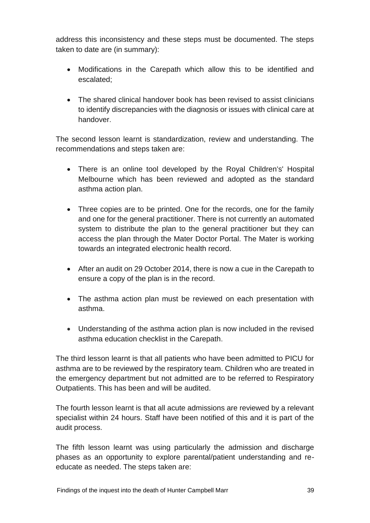address this inconsistency and these steps must be documented. The steps taken to date are (in summary):

- Modifications in the Carepath which allow this to be identified and escalated;
- The shared clinical handover book has been revised to assist clinicians to identify discrepancies with the diagnosis or issues with clinical care at handover.

The second lesson learnt is standardization, review and understanding. The recommendations and steps taken are:

- There is an online tool developed by the Royal Children's' Hospital Melbourne which has been reviewed and adopted as the standard asthma action plan.
- Three copies are to be printed. One for the records, one for the family and one for the general practitioner. There is not currently an automated system to distribute the plan to the general practitioner but they can access the plan through the Mater Doctor Portal. The Mater is working towards an integrated electronic health record.
- After an audit on 29 October 2014, there is now a cue in the Carepath to ensure a copy of the plan is in the record.
- The asthma action plan must be reviewed on each presentation with asthma.
- Understanding of the asthma action plan is now included in the revised asthma education checklist in the Carepath.

The third lesson learnt is that all patients who have been admitted to PICU for asthma are to be reviewed by the respiratory team. Children who are treated in the emergency department but not admitted are to be referred to Respiratory Outpatients. This has been and will be audited.

The fourth lesson learnt is that all acute admissions are reviewed by a relevant specialist within 24 hours. Staff have been notified of this and it is part of the audit process.

The fifth lesson learnt was using particularly the admission and discharge phases as an opportunity to explore parental/patient understanding and reeducate as needed. The steps taken are: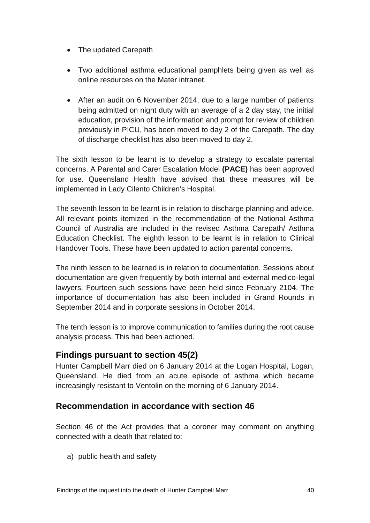- The updated Carepath
- Two additional asthma educational pamphlets being given as well as online resources on the Mater intranet.
- After an audit on 6 November 2014, due to a large number of patients being admitted on night duty with an average of a 2 day stay, the initial education, provision of the information and prompt for review of children previously in PICU, has been moved to day 2 of the Carepath. The day of discharge checklist has also been moved to day 2.

The sixth lesson to be learnt is to develop a strategy to escalate parental concerns. A Parental and Carer Escalation Model **(PACE)** has been approved for use. Queensland Health have advised that these measures will be implemented in Lady Cilento Children's Hospital.

The seventh lesson to be learnt is in relation to discharge planning and advice. All relevant points itemized in the recommendation of the National Asthma Council of Australia are included in the revised Asthma Carepath/ Asthma Education Checklist. The eighth lesson to be learnt is in relation to Clinical Handover Tools. These have been updated to action parental concerns.

The ninth lesson to be learned is in relation to documentation. Sessions about documentation are given frequently by both internal and external medico-legal lawyers. Fourteen such sessions have been held since February 2104. The importance of documentation has also been included in Grand Rounds in September 2014 and in corporate sessions in October 2014.

The tenth lesson is to improve communication to families during the root cause analysis process. This had been actioned.

## **Findings pursuant to section 45(2)**

Hunter Campbell Marr died on 6 January 2014 at the Logan Hospital, Logan, Queensland. He died from an acute episode of asthma which became increasingly resistant to Ventolin on the morning of 6 January 2014.

## **Recommendation in accordance with section 46**

Section 46 of the Act provides that a coroner may comment on anything connected with a death that related to:

a) public health and safety